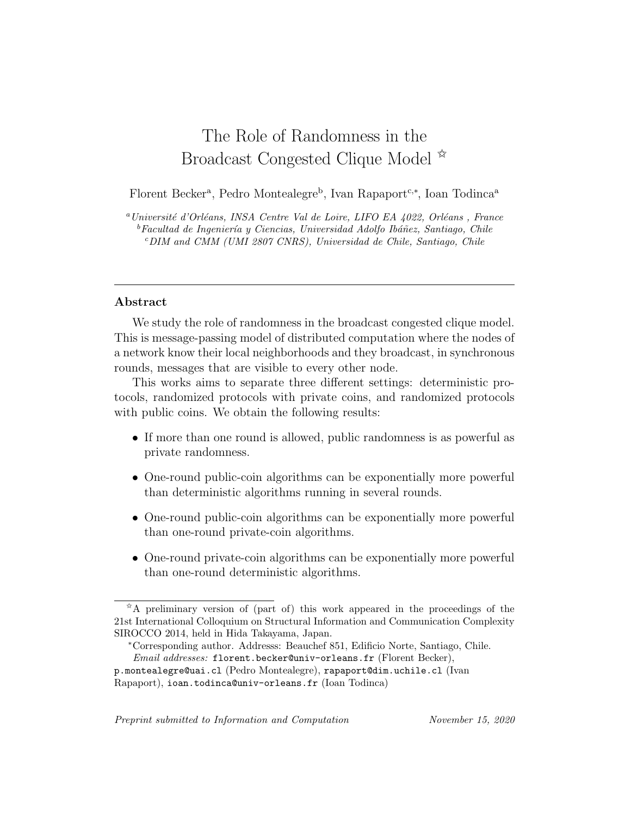# The Role of Randomness in the Broadcast Congested Clique Model  $\frac{\dot{x}}{x}$

Florent Becker<sup>a</sup>, Pedro Montealegre<sup>b</sup>, Ivan Rapaport<sup>c,∗</sup>, Ioan Todinca<sup>a</sup>

 $^{a}$ Université d'Orléans, INSA Centre Val de Loire, LIFO EA 4022, Orléans , France  ${}^b$ Facultad de Ingeniería y Ciencias, Universidad Adolfo Ibáñez, Santiago, Chile  $c$ DIM and CMM (UMI 2807 CNRS), Universidad de Chile, Santiago, Chile

#### Abstract

We study the role of randomness in the broadcast congested clique model. This is message-passing model of distributed computation where the nodes of a network know their local neighborhoods and they broadcast, in synchronous rounds, messages that are visible to every other node.

This works aims to separate three different settings: deterministic protocols, randomized protocols with private coins, and randomized protocols with public coins. We obtain the following results:

- If more than one round is allowed, public randomness is as powerful as private randomness.
- One-round public-coin algorithms can be exponentially more powerful than deterministic algorithms running in several rounds.
- One-round public-coin algorithms can be exponentially more powerful than one-round private-coin algorithms.
- One-round private-coin algorithms can be exponentially more powerful than one-round deterministic algorithms.

Preprint submitted to Information and Computation November 15, 2020

 $A^*$ A preliminary version of (part of) this work appeared in the proceedings of the 21st International Colloquium on Structural Information and Communication Complexity SIROCCO 2014, held in Hida Takayama, Japan.

<sup>∗</sup>Corresponding author. Addresss: Beauchef 851, Edificio Norte, Santiago, Chile. Email addresses: florent.becker@univ-orleans.fr (Florent Becker),

p.montealegre@uai.cl (Pedro Montealegre), rapaport@dim.uchile.cl (Ivan Rapaport), ioan.todinca@univ-orleans.fr (Ioan Todinca)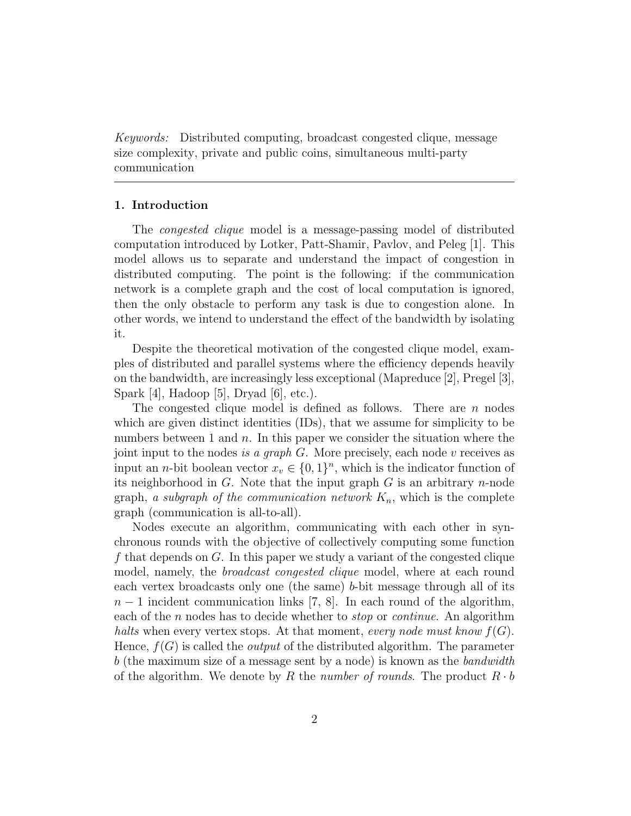Keywords: Distributed computing, broadcast congested clique, message size complexity, private and public coins, simultaneous multi-party communication

#### 1. Introduction

The *congested clique* model is a message-passing model of distributed computation introduced by Lotker, Patt-Shamir, Pavlov, and Peleg [1]. This model allows us to separate and understand the impact of congestion in distributed computing. The point is the following: if the communication network is a complete graph and the cost of local computation is ignored, then the only obstacle to perform any task is due to congestion alone. In other words, we intend to understand the effect of the bandwidth by isolating it.

Despite the theoretical motivation of the congested clique model, examples of distributed and parallel systems where the efficiency depends heavily on the bandwidth, are increasingly less exceptional (Mapreduce [2], Pregel [3], Spark [4], Hadoop [5], Dryad [6], etc.).

The congested clique model is defined as follows. There are  $n$  nodes which are given distinct identities (IDs), that we assume for simplicity to be numbers between 1 and  $n$ . In this paper we consider the situation where the joint input to the nodes is a graph  $G$ . More precisely, each node  $v$  receives as input an *n*-bit boolean vector  $x_v \in \{0,1\}^n$ , which is the indicator function of its neighborhood in  $G$ . Note that the input graph  $G$  is an arbitrary *n*-node graph, a subgraph of the communication network  $K_n$ , which is the complete graph (communication is all-to-all).

Nodes execute an algorithm, communicating with each other in synchronous rounds with the objective of collectively computing some function f that depends on  $G$ . In this paper we study a variant of the congested clique model, namely, the *broadcast congested clique* model, where at each round each vertex broadcasts only one (the same) b-bit message through all of its  $n-1$  incident communication links [7, 8]. In each round of the algorithm, each of the n nodes has to decide whether to *stop* or *continue*. An algorithm halts when every vertex stops. At that moment, every node must know  $f(G)$ . Hence,  $f(G)$  is called the *output* of the distributed algorithm. The parameter b (the maximum size of a message sent by a node) is known as the bandwidth of the algorithm. We denote by R the number of rounds. The product  $R \cdot b$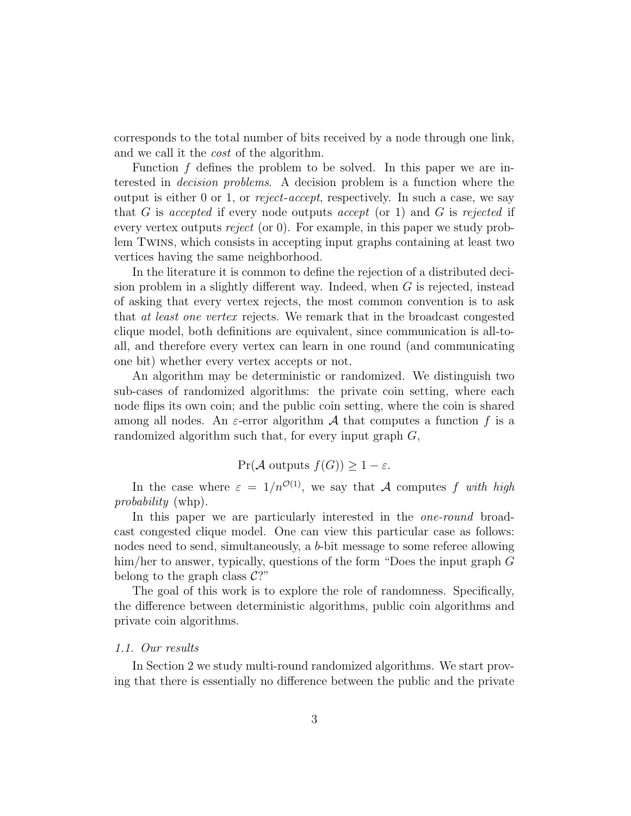corresponds to the total number of bits received by a node through one link, and we call it the cost of the algorithm.

Function  $f$  defines the problem to be solved. In this paper we are interested in decision problems. A decision problem is a function where the output is either 0 or 1, or reject-accept, respectively. In such a case, we say that G is accepted if every node outputs accept (or 1) and G is rejected if every vertex outputs *reject* (or 0). For example, in this paper we study problem Twins, which consists in accepting input graphs containing at least two vertices having the same neighborhood.

In the literature it is common to define the rejection of a distributed decision problem in a slightly different way. Indeed, when G is rejected, instead of asking that every vertex rejects, the most common convention is to ask that at least one vertex rejects. We remark that in the broadcast congested clique model, both definitions are equivalent, since communication is all-toall, and therefore every vertex can learn in one round (and communicating one bit) whether every vertex accepts or not.

An algorithm may be deterministic or randomized. We distinguish two sub-cases of randomized algorithms: the private coin setting, where each node flips its own coin; and the public coin setting, where the coin is shared among all nodes. An  $\varepsilon$ -error algorithm A that computes a function f is a randomized algorithm such that, for every input graph  $G$ ,

## $Pr(A \text{ outputs } f(G)) > 1 - \varepsilon.$

In the case where  $\varepsilon = 1/n^{\mathcal{O}(1)}$ , we say that A computes f with high probability (whp).

In this paper we are particularly interested in the *one-round* broadcast congested clique model. One can view this particular case as follows: nodes need to send, simultaneously, a b-bit message to some referee allowing him/her to answer, typically, questions of the form "Does the input graph G belong to the graph class  $\mathcal{C}$ ?"

The goal of this work is to explore the role of randomness. Specifically, the difference between deterministic algorithms, public coin algorithms and private coin algorithms.

#### 1.1. Our results

In Section 2 we study multi-round randomized algorithms. We start proving that there is essentially no difference between the public and the private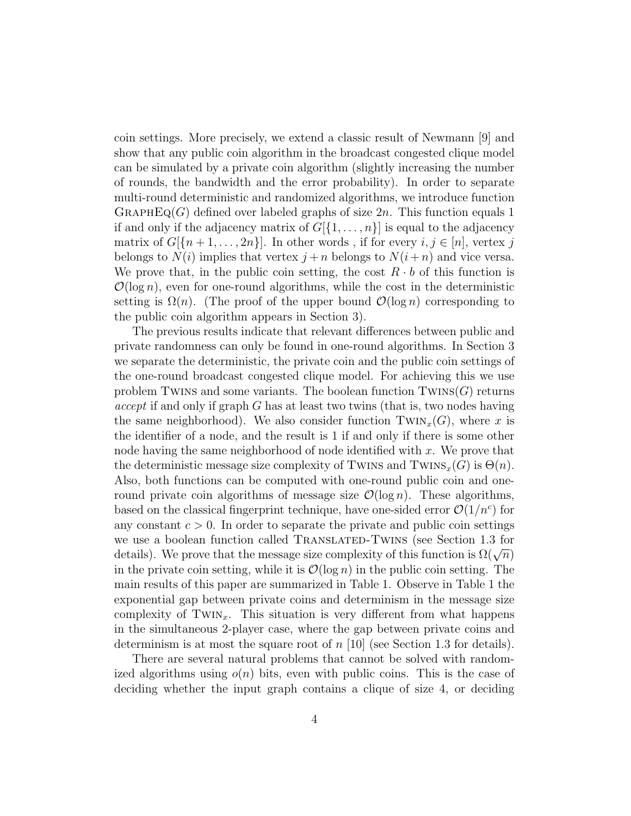coin settings. More precisely, we extend a classic result of Newmann [9] and show that any public coin algorithm in the broadcast congested clique model can be simulated by a private coin algorithm (slightly increasing the number of rounds, the bandwidth and the error probability). In order to separate multi-round deterministic and randomized algorithms, we introduce function GRAPHEQ(G) defined over labeled graphs of size  $2n$ . This function equals 1 if and only if the adjacency matrix of  $G[\{1,\ldots,n\}]$  is equal to the adjacency matrix of  $G[\{n+1,\ldots,2n\}].$  In other words, if for every  $i, j \in [n]$ , vertex j belongs to  $N(i)$  implies that vertex  $j + n$  belongs to  $N(i + n)$  and vice versa. We prove that, in the public coin setting, the cost  $R \cdot b$  of this function is  $\mathcal{O}(\log n)$ , even for one-round algorithms, while the cost in the deterministic setting is  $\Omega(n)$ . (The proof of the upper bound  $\mathcal{O}(\log n)$  corresponding to the public coin algorithm appears in Section 3).

The previous results indicate that relevant differences between public and private randomness can only be found in one-round algorithms. In Section 3 we separate the deterministic, the private coin and the public coin settings of the one-round broadcast congested clique model. For achieving this we use problem Twins and some variants. The boolean function  $Twins(G)$  returns *accept* if and only if graph G has at least two twins (that is, two nodes having the same neighborhood). We also consider function  $\text{Twix}(G)$ , where x is the identifier of a node, and the result is 1 if and only if there is some other node having the same neighborhood of node identified with  $x$ . We prove that the deterministic message size complexity of TWINS and TWINS<sub>x</sub>(G) is  $\Theta(n)$ . Also, both functions can be computed with one-round public coin and oneround private coin algorithms of message size  $\mathcal{O}(\log n)$ . These algorithms, based on the classical fingerprint technique, have one-sided error  $\mathcal{O}(1/n^c)$  for any constant  $c > 0$ . In order to separate the private and public coin settings we use a boolean function called TRANSLATED-TWINS (see Section 1.3 for we use a boolean function called TRANSLATED-TWINS (see Bection 1.5 for details). We prove that the message size complexity of this function is  $\Omega(\sqrt{n})$ in the private coin setting, while it is  $\mathcal{O}(\log n)$  in the public coin setting. The main results of this paper are summarized in Table 1. Observe in Table 1 the exponential gap between private coins and determinism in the message size complexity of TWIN<sub>x</sub>. This situation is very different from what happens in the simultaneous 2-player case, where the gap between private coins and determinism is at most the square root of  $n \vert 10 \vert$  (see Section 1.3 for details).

There are several natural problems that cannot be solved with randomized algorithms using  $o(n)$  bits, even with public coins. This is the case of deciding whether the input graph contains a clique of size 4, or deciding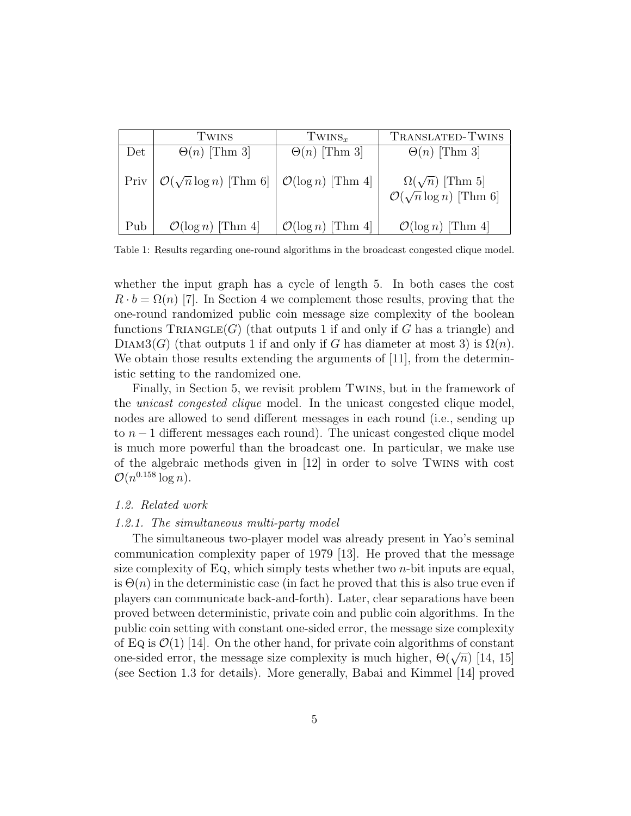|     | TWINS                                                                    | $TWINS_{r}$                   | TRANSLATED-TWINS                                                    |
|-----|--------------------------------------------------------------------------|-------------------------------|---------------------------------------------------------------------|
| Det | $\Theta(n)$ [Thm 3]                                                      | $\Theta(n)$ [Thm 3]           | $\Theta(n)$ [Thm 3]                                                 |
|     | Priv $\mathcal{O}(\sqrt{n}\log n)$ [Thm 6] $\mathcal{O}(\log n)$ [Thm 4] |                               | $\Omega(\sqrt{n})$ [Thm 5]<br>$\mathcal{O}(\sqrt{n}\log n)$ [Thm 6] |
| Pub | $\mathcal{O}(\log n)$ [Thm 4]                                            | $\mathcal{O}(\log n)$ [Thm 4] | $\mathcal{O}(\log n)$ [Thm 4]                                       |

Table 1: Results regarding one-round algorithms in the broadcast congested clique model.

whether the input graph has a cycle of length 5. In both cases the cost  $R \cdot b = \Omega(n)$  [7]. In Section 4 we complement those results, proving that the one-round randomized public coin message size complexity of the boolean functions  $TRIANGE(G)$  (that outputs 1 if and only if G has a triangle) and DIAM3(G) (that outputs 1 if and only if G has diameter at most 3) is  $\Omega(n)$ . We obtain those results extending the arguments of [11], from the deterministic setting to the randomized one.

Finally, in Section 5, we revisit problem Twins, but in the framework of the unicast congested clique model. In the unicast congested clique model, nodes are allowed to send different messages in each round (i.e., sending up to  $n-1$  different messages each round). The unicast congested clique model is much more powerful than the broadcast one. In particular, we make use of the algebraic methods given in [12] in order to solve Twins with cost  $\mathcal{O}(n^{0.158} \log n).$ 

#### 1.2. Related work

#### 1.2.1. The simultaneous multi-party model

The simultaneous two-player model was already present in Yao's seminal communication complexity paper of 1979 [13]. He proved that the message size complexity of Eq, which simply tests whether two  $n$ -bit inputs are equal, is  $\Theta(n)$  in the deterministic case (in fact he proved that this is also true even if players can communicate back-and-forth). Later, clear separations have been proved between deterministic, private coin and public coin algorithms. In the public coin setting with constant one-sided error, the message size complexity of Eq is  $\mathcal{O}(1)$  [14]. On the other hand, for private coin algorithms of constant on Eq is  $O(1)$  [14]. On the other hand, for private comparison and applicant one-sided error, the message size complexity is much higher,  $\Theta(\sqrt{n})$  [14, 15] (see Section 1.3 for details). More generally, Babai and Kimmel [14] proved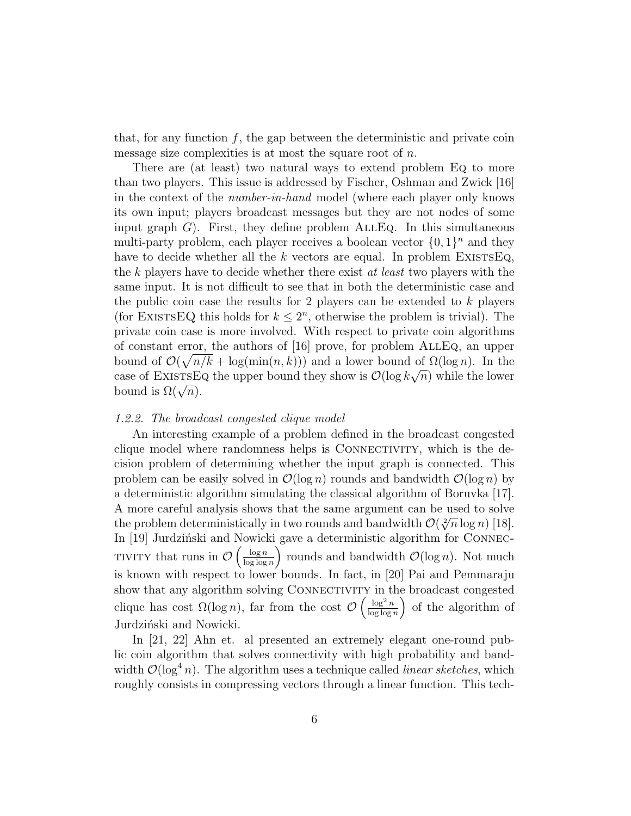that, for any function  $f$ , the gap between the deterministic and private coin message size complexities is at most the square root of  $n$ .

There are (at least) two natural ways to extend problem Eq to more than two players. This issue is addressed by Fischer, Oshman and Zwick [16] in the context of the number-in-hand model (where each player only knows its own input; players broadcast messages but they are not nodes of some input graph  $G$ ). First, they define problem  $\text{ALLEq.}$  In this simultaneous multi-party problem, each player receives a boolean vector  $\{0,1\}^n$  and they have to decide whether all the k vectors are equal. In problem EXISTSEQ, the k players have to decide whether there exist at least two players with the same input. It is not difficult to see that in both the deterministic case and the public coin case the results for 2 players can be extended to  $k$  players (for EXISTSEQ this holds for  $k \leq 2^n$ , otherwise the problem is trivial). The private coin case is more involved. With respect to private coin algorithms of constant error, the authors of [16] prove, for problem AllEq, an upper bound of  $\mathcal{O}(\sqrt{n/k} + \log(\min(n, k)))$  and a lower bound of  $\Omega(\log n)$ . In the case of EXISTSEQ the upper bound they show is  $\mathcal{O}(\log k\sqrt{n})$  while the lower case of EXISTSE<br>bound is  $\Omega(\sqrt{n})$ .

#### 1.2.2. The broadcast congested clique model

An interesting example of a problem defined in the broadcast congested clique model where randomness helps is CONNECTIVITY, which is the decision problem of determining whether the input graph is connected. This problem can be easily solved in  $\mathcal{O}(\log n)$  rounds and bandwidth  $\mathcal{O}(\log n)$  by a deterministic algorithm simulating the classical algorithm of Boruvka [17]. A more careful analysis shows that the same argument can be used to solve A more careful analysis shows that the same argument can be used to solve<br>the problem deterministically in two rounds and bandwidth  $\mathcal{O}(\sqrt[2]{n} \log n)$  [18]. In [19] Jurdziński and Nowicki gave a deterministic algorithm for CONNEC-TIVITY that runs in  $\mathcal{O}\left(\frac{\log n}{\log \log n}\right)$  $log log n$ ) rounds and bandwidth  $\mathcal{O}(\log n)$ . Not much is known with respect to lower bounds. In fact, in [20] Pai and Pemmaraju show that any algorithm solving CONNECTIVITY in the broadcast congested clique has cost  $\Omega(\log n)$ , far from the cost  $\mathcal{O}\left(\frac{\log^2 n}{\log \log n}\right)$  $\log \log n$  of the algorithm of Jurdziński and Nowicki.

In [21, 22] Ahn et. al presented an extremely elegant one-round public coin algorithm that solves connectivity with high probability and bandwidth  $\mathcal{O}(\log^4 n)$ . The algorithm uses a technique called *linear sketches*, which roughly consists in compressing vectors through a linear function. This tech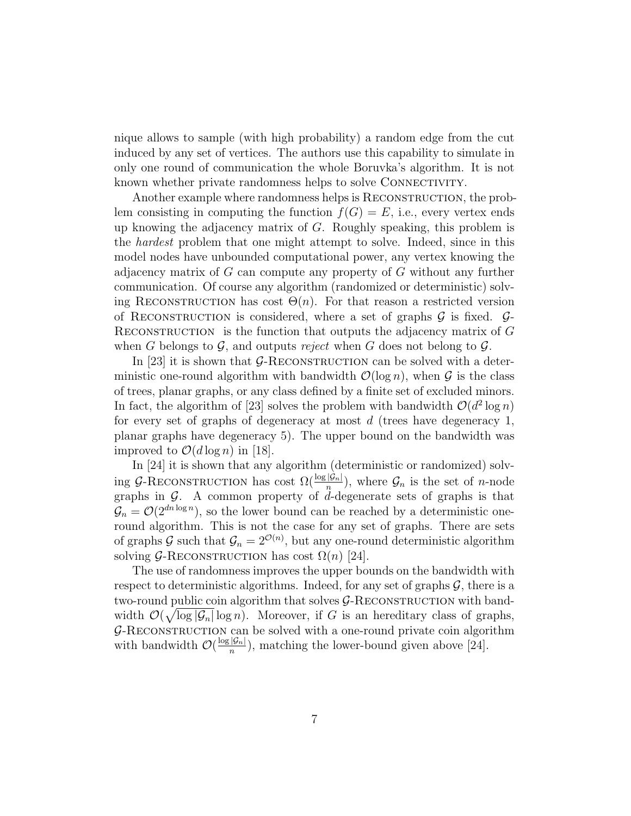nique allows to sample (with high probability) a random edge from the cut induced by any set of vertices. The authors use this capability to simulate in only one round of communication the whole Boruvka's algorithm. It is not known whether private randomness helps to solve CONNECTIVITY.

Another example where randomness helps is RECONSTRUCTION, the problem consisting in computing the function  $f(G) = E$ , i.e., every vertex ends up knowing the adjacency matrix of  $G$ . Roughly speaking, this problem is the hardest problem that one might attempt to solve. Indeed, since in this model nodes have unbounded computational power, any vertex knowing the adjacency matrix of G can compute any property of G without any further communication. Of course any algorithm (randomized or deterministic) solving RECONSTRUCTION has cost  $\Theta(n)$ . For that reason a restricted version of RECONSTRUCTION is considered, where a set of graphs  $\mathcal G$  is fixed.  $\mathcal G$ -RECONSTRUCTION is the function that outputs the adjacency matrix of  $G$ when G belongs to  $\mathcal G$ , and outputs reject when G does not belong to  $\mathcal G$ .

In [23] it is shown that  $G$ -RECONSTRUCTION can be solved with a deterministic one-round algorithm with bandwidth  $\mathcal{O}(\log n)$ , when  $\mathcal G$  is the class of trees, planar graphs, or any class defined by a finite set of excluded minors. In fact, the algorithm of [23] solves the problem with bandwidth  $\mathcal{O}(d^2 \log n)$ for every set of graphs of degeneracy at most  $d$  (trees have degeneracy 1, planar graphs have degeneracy 5). The upper bound on the bandwidth was improved to  $\mathcal{O}(d \log n)$  in [18].

In [24] it is shown that any algorithm (deterministic or randomized) solving G-RECONSTRUCTION has cost  $\Omega(\frac{\log |\mathcal{G}_n|}{n})$ , where  $\mathcal{G}_n$  is the set of *n*-node graphs in  $G$ . A common property of d-degenerate sets of graphs is that  $\mathcal{G}_n = \mathcal{O}(2^{dn \log n})$ , so the lower bound can be reached by a deterministic oneround algorithm. This is not the case for any set of graphs. There are sets of graphs G such that  $\mathcal{G}_n = 2^{\mathcal{O}(n)}$ , but any one-round deterministic algorithm solving  $G$ -RECONSTRUCTION has cost  $\Omega(n)$  [24].

The use of randomness improves the upper bounds on the bandwidth with respect to deterministic algorithms. Indeed, for any set of graphs  $\mathcal{G}$ , there is a two-round public coin algorithm that solves  $G$ -RECONSTRUCTION with bandwidth  $\mathcal{O}(\sqrt{\log |\mathcal{G}_n|} \log n)$ . Moreover, if G is an hereditary class of graphs,  $G$ -RECONSTRUCTION can be solved with a one-round private coin algorithm with bandwidth  $\mathcal{O}(\frac{\log |\mathcal{G}_n|}{n})$  $\frac{|\mathcal{Y}_n|}{n}$ , matching the lower-bound given above [24].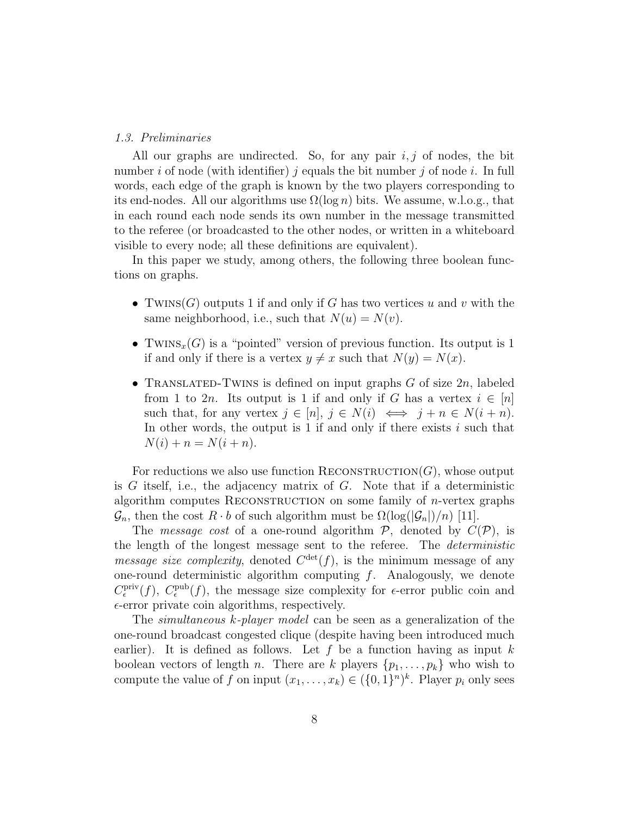#### 1.3. Preliminaries

All our graphs are undirected. So, for any pair  $i, j$  of nodes, the bit number i of node (with identifier) j equals the bit number j of node i. In full words, each edge of the graph is known by the two players corresponding to its end-nodes. All our algorithms use  $\Omega(\log n)$  bits. We assume, w.l.o.g., that in each round each node sends its own number in the message transmitted to the referee (or broadcasted to the other nodes, or written in a whiteboard visible to every node; all these definitions are equivalent).

In this paper we study, among others, the following three boolean functions on graphs.

- TWINS(G) outputs 1 if and only if G has two vertices u and v with the same neighborhood, i.e., such that  $N(u) = N(v)$ .
- TWINS<sub>x</sub>(G) is a "pointed" version of previous function. Its output is 1 if and only if there is a vertex  $y \neq x$  such that  $N(y) = N(x)$ .
- TRANSLATED-TWINS is defined on input graphs G of size  $2n$ , labeled from 1 to 2n. Its output is 1 if and only if G has a vertex  $i \in [n]$ such that, for any vertex  $j \in [n]$ ,  $j \in N(i) \iff j + n \in N(i + n)$ . In other words, the output is 1 if and only if there exists  $i$  such that  $N(i) + n = N(i + n).$

For reductions we also use function  $RECONSTRUCTION(G)$ , whose output is G itself, i.e., the adjacency matrix of G. Note that if a deterministic algorithm computes RECONSTRUCTION on some family of  $n$ -vertex graphs  $\mathcal{G}_n$ , then the cost  $R \cdot b$  of such algorithm must be  $\Omega(\log(|\mathcal{G}_n|)/n)$  [11].

The *message cost* of a one-round algorithm  $P$ , denoted by  $C(P)$ , is the length of the longest message sent to the referee. The deterministic *message size complexity*, denoted  $C^{\text{det}}(f)$ , is the minimum message of any one-round deterministic algorithm computing  $f$ . Analogously, we denote  $C_{\epsilon}^{\text{priv}}(f)$ ,  $C_{\epsilon}^{\text{pub}}(f)$ , the message size complexity for  $\epsilon$ -error public coin and  $\epsilon$ -error private coin algorithms, respectively.

The *simultaneous* k-*player model* can be seen as a generalization of the one-round broadcast congested clique (despite having been introduced much earlier). It is defined as follows. Let f be a function having as input k boolean vectors of length n. There are k players  $\{p_1, \ldots, p_k\}$  who wish to compute the value of f on input  $(x_1, \ldots, x_k) \in (\{0,1\}^n)^k$ . Player  $p_i$  only sees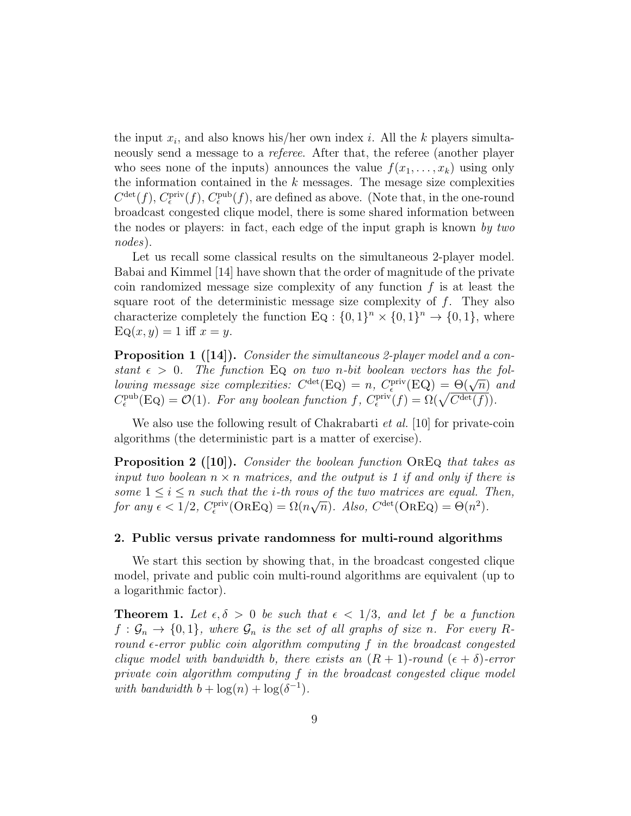the input  $x_i$ , and also knows his/her own index i. All the k players simultaneously send a message to a *referee*. After that, the referee (another player who sees none of the inputs) announces the value  $f(x_1, \ldots, x_k)$  using only the information contained in the  $k$  messages. The mesage size complexities  $C^{\text{det}}(f)$ ,  $C_{\epsilon}^{\text{priv}}(f)$ ,  $C_{\epsilon}^{\text{pub}}(f)$ , are defined as above. (Note that, in the one-round broadcast congested clique model, there is some shared information between the nodes or players: in fact, each edge of the input graph is known by two nodes).

Let us recall some classical results on the simultaneous 2-player model. Babai and Kimmel [14] have shown that the order of magnitude of the private coin randomized message size complexity of any function  $f$  is at least the square root of the deterministic message size complexity of  $f$ . They also characterize completely the function Eq :  $\{0,1\}^n \times \{0,1\}^n \rightarrow \{0,1\}$ , where  $\text{Eq}(x, y) = 1$  iff  $x = y$ .

**Proposition 1** ([14]). Consider the simultaneous 2-player model and a constant  $\epsilon > 0$ . The function Eq on two n-bit boolean vectors has the folbetwing message size complexities:  $C^{\text{det}}(\text{Eq}) = n$ ,  $C_{\epsilon}^{\text{priv}}(\text{EQ}) = \Theta(\sqrt{n})$  and  $C_{\epsilon}^{\text{pub}}(Eq) = \mathcal{O}(1)$ . For any boolean function  $f$ ,  $C_{\epsilon}^{\text{priv}}(f) = \Omega(\sqrt{C^{\text{det}}(f)})$ .

We also use the following result of Chakrabarti *et al.* [10] for private-coin algorithms (the deterministic part is a matter of exercise).

**Proposition 2** ([10]). Consider the boolean function OREQ that takes as input two boolean  $n \times n$  matrices, and the output is 1 if and only if there is some  $1 \leq i \leq n$  such that the *i*-th rows of the two matrices are equal. Then,  $f$   $\sigma$  any  $\epsilon$   $\lt$   $1/2$ ,  $C_{\epsilon}^{\text{priv}}(\text{OREQ}) = \Omega(n\sqrt{N})$  $\overline{n}$ ). Also,  $C^{\text{det}}(\text{OREQ}) = \Theta(n^2)$ .

#### 2. Public versus private randomness for multi-round algorithms

We start this section by showing that, in the broadcast congested clique model, private and public coin multi-round algorithms are equivalent (up to a logarithmic factor).

**Theorem 1.** Let  $\epsilon, \delta > 0$  be such that  $\epsilon < 1/3$ , and let f be a function  $f : \mathcal{G}_n \to \{0,1\}$ , where  $\mathcal{G}_n$  is the set of all graphs of size n. For every Rround  $\epsilon$ -error public coin algorithm computing f in the broadcast congested clique model with bandwidth b, there exists an  $(R + 1)$ -round  $(\epsilon + \delta)$ -error private coin algorithm computing f in the broadcast congested clique model with bandwidth  $b + \log(n) + \log(\delta^{-1})$ .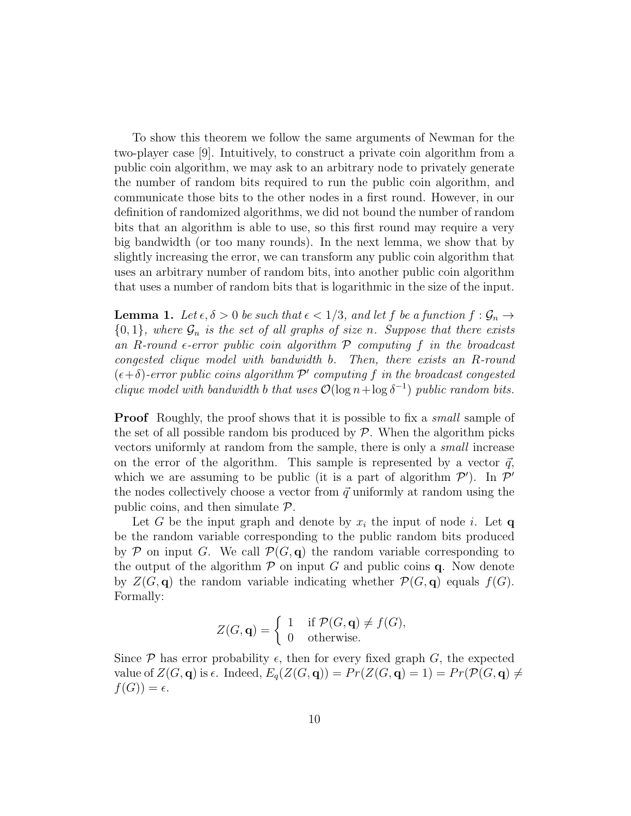To show this theorem we follow the same arguments of Newman for the two-player case [9]. Intuitively, to construct a private coin algorithm from a public coin algorithm, we may ask to an arbitrary node to privately generate the number of random bits required to run the public coin algorithm, and communicate those bits to the other nodes in a first round. However, in our definition of randomized algorithms, we did not bound the number of random bits that an algorithm is able to use, so this first round may require a very big bandwidth (or too many rounds). In the next lemma, we show that by slightly increasing the error, we can transform any public coin algorithm that uses an arbitrary number of random bits, into another public coin algorithm that uses a number of random bits that is logarithmic in the size of the input.

**Lemma 1.** Let  $\epsilon, \delta > 0$  be such that  $\epsilon < 1/3$ , and let f be a function  $f : \mathcal{G}_n \to$  ${0,1}$ , where  $\mathcal{G}_n$  is the set of all graphs of size n. Suppose that there exists an R-round  $\epsilon$ -error public coin algorithm  $\mathcal P$  computing  $f$  in the broadcast congested clique model with bandwidth b. Then, there exists an R-round  $(\epsilon + \delta)$ -error public coins algorithm  $\mathcal{P}'$  computing f in the broadcast congested clique model with bandwidth b that uses  $\mathcal{O}(\log n + \log \delta^{-1})$  public random bits.

**Proof** Roughly, the proof shows that it is possible to fix a *small* sample of the set of all possible random bis produced by  $P$ . When the algorithm picks vectors uniformly at random from the sample, there is only a small increase on the error of the algorithm. This sample is represented by a vector  $\vec{q}$ , which we are assuming to be public (it is a part of algorithm  $\mathcal{P}'$ ). In  $\mathcal{P}'$ the nodes collectively choose a vector from  $\vec{q}$  uniformly at random using the public coins, and then simulate  $\mathcal{P}$ .

Let G be the input graph and denote by  $x_i$  the input of node i. Let q be the random variable corresponding to the public random bits produced by P on input G. We call  $\mathcal{P}(G, q)$  the random variable corresponding to the output of the algorithm  $\mathcal P$  on input G and public coins q. Now denote by  $Z(G, \mathbf{q})$  the random variable indicating whether  $\mathcal{P}(G, \mathbf{q})$  equals  $f(G)$ . Formally:

$$
Z(G, \mathbf{q}) = \begin{cases} 1 & \text{if } \mathcal{P}(G, \mathbf{q}) \neq f(G), \\ 0 & \text{otherwise.} \end{cases}
$$

Since  $P$  has error probability  $\epsilon$ , then for every fixed graph G, the expected value of  $Z(G, \mathbf{q})$  is  $\epsilon$ . Indeed,  $E_q(Z(G, \mathbf{q})) = Pr(Z(G, \mathbf{q}) = 1) = Pr(\mathcal{P}(G, \mathbf{q}) \neq 1)$  $f(G)) = \epsilon.$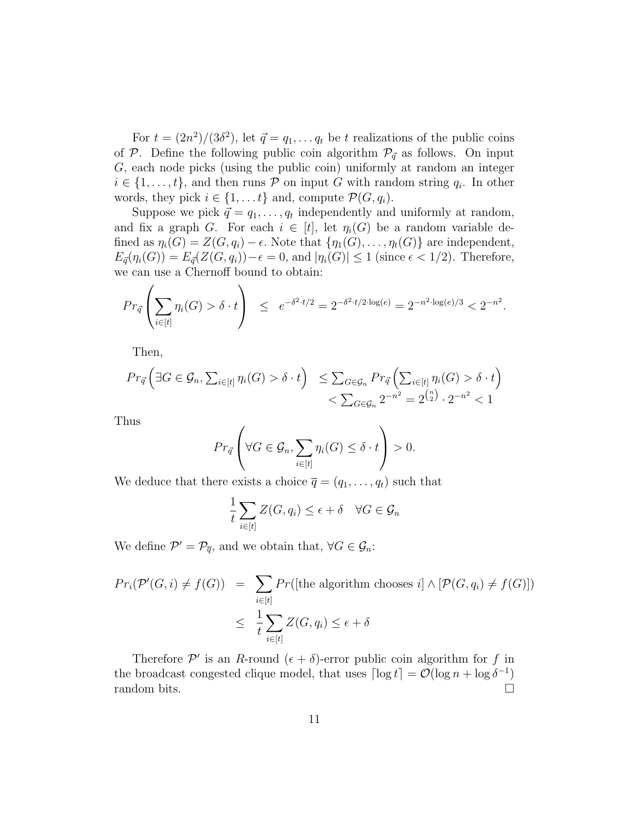For  $t = (2n^2)/(3\delta^2)$ , let  $\vec{q} = q_1, \ldots q_t$  be t realizations of the public coins of P. Define the following public coin algorithm  $\mathcal{P}_{\vec{q}}$  as follows. On input G, each node picks (using the public coin) uniformly at random an integer  $i \in \{1, \ldots, t\}$ , and then runs  $P$  on input G with random string  $q_i$ . In other words, they pick  $i \in \{1, \ldots t\}$  and, compute  $\mathcal{P}(G, q_i)$ .

Suppose we pick  $\vec{q} = q_1, \dots, q_t$  independently and uniformly at random, and fix a graph G. For each  $i \in [t]$ , let  $\eta_i(G)$  be a random variable defined as  $\eta_i(G) = Z(G, q_i) - \epsilon$ . Note that  $\{\eta_1(G), \ldots, \eta_t(G)\}\)$  are independent,  $E_{\vec{q}}(\eta_i(G)) = E_{\vec{q}}(Z(G, q_i)) - \epsilon = 0$ , and  $|\eta_i(G)| \leq 1$  (since  $\epsilon < 1/2$ ). Therefore, we can use a Chernoff bound to obtain:

$$
Pr_{\vec{q}}\left(\sum_{i\in[t]} \eta_i(G) > \delta \cdot t\right) \le e^{-\delta^2 \cdot t/2} = 2^{-\delta^2 \cdot t/2 \cdot \log(e)} = 2^{-n^2 \cdot \log(e)/3} < 2^{-n^2}.
$$

Then,

$$
Pr_{\vec{q}}\left(\exists G \in \mathcal{G}_n, \sum_{i \in [t]} \eta_i(G) > \delta \cdot t\right) \leq \sum_{G \in \mathcal{G}_n} Pr_{\vec{q}}\left(\sum_{i \in [t]} \eta_i(G) > \delta \cdot t\right) < \sum_{G \in \mathcal{G}_n} 2^{-n^2} = 2^{\binom{n}{2}} \cdot 2^{-n^2} < 1
$$

Thus

$$
Pr_{\vec{q}}\left(\forall G \in \mathcal{G}_n, \sum_{i \in [t]} \eta_i(G) \leq \delta \cdot t\right) > 0.
$$

We deduce that there exists a choice  $\overline{q} = (q_1, \ldots, q_t)$  such that

$$
\frac{1}{t}\sum_{i\in[t]}Z(G,q_i)\leq \epsilon+\delta \quad \forall G\in\mathcal{G}_n
$$

We define  $\mathcal{P}' = \mathcal{P}_{\overline{q}}$ , and we obtain that,  $\forall G \in \mathcal{G}_n$ :

$$
Pr_i(\mathcal{P}'(G,i) \neq f(G)) = \sum_{i \in [t]} Pr([\text{the algorithm chooses } i] \land [\mathcal{P}(G, q_i) \neq f(G)])
$$
  

$$
\leq \frac{1}{t} \sum_{i \in [t]} Z(G, q_i) \leq \epsilon + \delta
$$

Therefore  $\mathcal{P}'$  is an R-round  $(\epsilon + \delta)$ -error public coin algorithm for f in the broadcast congested clique model, that uses  $\lceil \log t \rceil = \mathcal{O}(\log n + \log \delta^{-1})$ random bits.  $\Box$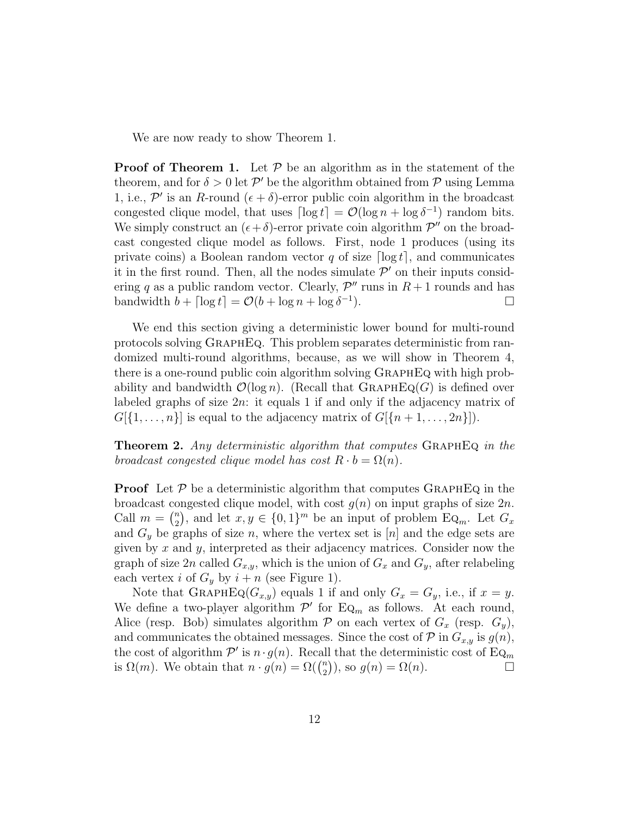We are now ready to show Theorem 1.

**Proof of Theorem 1.** Let  $P$  be an algorithm as in the statement of the theorem, and for  $\delta > 0$  let  $\mathcal{P}'$  be the algorithm obtained from  $\mathcal P$  using Lemma 1, i.e.,  $\mathcal{P}'$  is an R-round  $(\epsilon + \delta)$ -error public coin algorithm in the broadcast congested clique model, that uses  $\lceil \log t \rceil = \mathcal{O}(\log n + \log \delta^{-1})$  random bits. We simply construct an  $(\epsilon + \delta)$ -error private coin algorithm  $\mathcal{P}''$  on the broadcast congested clique model as follows. First, node 1 produces (using its private coins) a Boolean random vector q of size  $\lceil \log t \rceil$ , and communicates it in the first round. Then, all the nodes simulate  $\mathcal{P}'$  on their inputs considering q as a public random vector. Clearly,  $\mathcal{P}''$  runs in  $R+1$  rounds and has bandwidth  $b + \lceil \log t \rceil = \mathcal{O}(b + \log n + \log \delta^{-1})$  $\Box$ 

We end this section giving a deterministic lower bound for multi-round protocols solving GraphEq. This problem separates deterministic from randomized multi-round algorithms, because, as we will show in Theorem 4, there is a one-round public coin algorithm solving GraphEq with high probability and bandwidth  $\mathcal{O}(\log n)$ . (Recall that GRAPHEQ(G) is defined over labeled graphs of size  $2n$ : it equals 1 if and only if the adjacency matrix of  $G[\{1,\ldots,n\}]$  is equal to the adjacency matrix of  $G[\{n+1,\ldots,2n\}].$ 

**Theorem 2.** Any deterministic algorithm that computes GRAPHEQ in the broadcast congested clique model has cost  $R \cdot b = \Omega(n)$ .

**Proof** Let  $P$  be a deterministic algorithm that computes GRAPHEQ in the broadcast congested clique model, with cost  $g(n)$  on input graphs of size  $2n$ . Call  $m = \binom{n}{2}$  $\binom{n}{2}$ , and let  $x, y \in \{0, 1\}^m$  be an input of problem Eq<sub>m</sub>. Let  $G_x$ and  $G_y$  be graphs of size n, where the vertex set is [n] and the edge sets are given by x and y, interpreted as their adjacency matrices. Consider now the graph of size 2n called  $G_{x,y}$ , which is the union of  $G_x$  and  $G_y$ , after relabeling each vertex *i* of  $G_y$  by  $i + n$  (see Figure 1).

Note that GRAPHEQ( $G_{x,y}$ ) equals 1 if and only  $G_x = G_y$ , i.e., if  $x = y$ . We define a two-player algorithm  $\mathcal{P}'$  for Eq<sub>m</sub> as follows. At each round, Alice (resp. Bob) simulates algorithm  $P$  on each vertex of  $G_x$  (resp.  $G_y$ ), and communicates the obtained messages. Since the cost of  $P$  in  $G_{x,y}$  is  $g(n)$ , the cost of algorithm  $\mathcal{P}'$  is  $n \cdot g(n)$ . Recall that the deterministic cost of  $\mathrm{Eq}_m$ is  $\Omega(m)$ . We obtain that  $n \cdot g(n) = \Omega(\binom{n}{2})$  $\binom{n}{2}$ , so  $g(n) = \Omega(n)$ .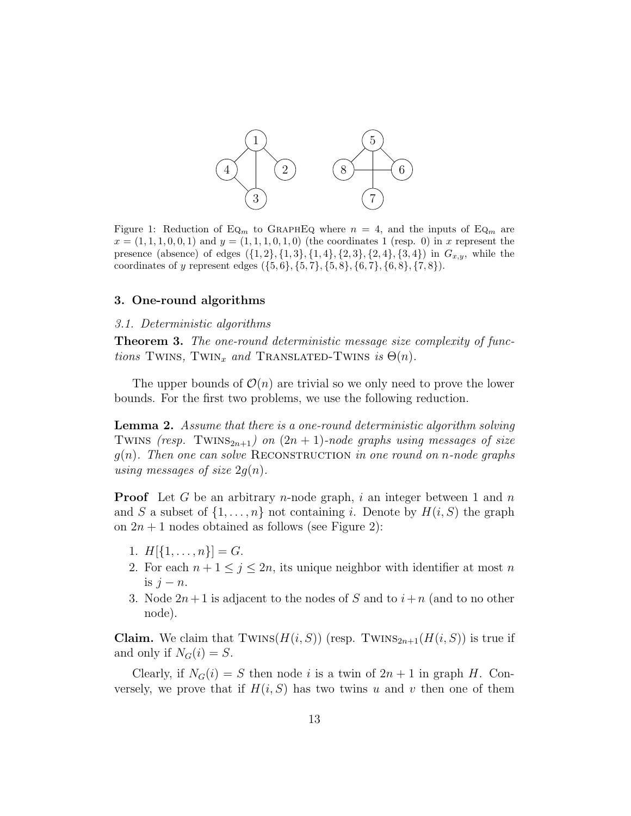

Figure 1: Reduction of EQ<sub>m</sub> to GRAPHEQ where  $n = 4$ , and the inputs of EQ<sub>m</sub> are  $x = (1, 1, 1, 0, 0, 1)$  and  $y = (1, 1, 1, 0, 1, 0)$  (the coordinates 1 (resp. 0) in x represent the presence (absence) of edges  $({1, 2}, {1, 3}, {1, 4}, {2, 3}, {2, 4}, {3, 4})$  in  $G_{x,y}$ , while the coordinates of y represent edges  $({5, 6}, {5, 7}, {5, 8}, {6, 7}, {6, 8}, {7, 8}).$ 

#### 3. One-round algorithms

#### 3.1. Deterministic algorithms

Theorem 3. The one-round deterministic message size complexity of functions TWINS, TWIN<sub>x</sub> and TRANSLATED-TWINS is  $\Theta(n)$ .

The upper bounds of  $\mathcal{O}(n)$  are trivial so we only need to prove the lower bounds. For the first two problems, we use the following reduction.

**Lemma 2.** Assume that there is a one-round deterministic algorithm solving TWINS (resp. TWINS<sub>2n+1</sub>) on  $(2n + 1)$ -node graphs using messages of size  $g(n)$ . Then one can solve RECONSTRUCTION in one round on n-node graphs using messages of size  $2q(n)$ .

**Proof** Let G be an arbitrary *n*-node graph, i an integer between 1 and n and S a subset of  $\{1, \ldots, n\}$  not containing i. Denote by  $H(i, S)$  the graph on  $2n + 1$  nodes obtained as follows (see Figure 2):

- 1.  $H[\{1,\ldots,n\}]=G.$
- 2. For each  $n + 1 \leq j \leq 2n$ , its unique neighbor with identifier at most n is  $j - n$ .
- 3. Node  $2n+1$  is adjacent to the nodes of S and to  $i+n$  (and to no other node).

**Claim.** We claim that  $TWINS(H(i, S))$  (resp.  $TWINS_{2n+1}(H(i, S))$  is true if and only if  $N_G(i) = S$ .

Clearly, if  $N_G(i) = S$  then node i is a twin of  $2n + 1$  in graph H. Conversely, we prove that if  $H(i, S)$  has two twins u and v then one of them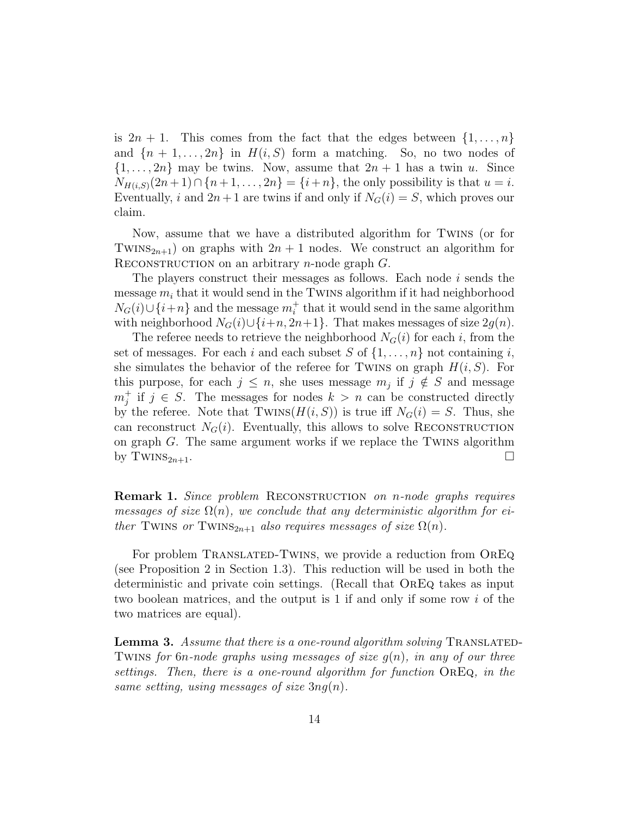is  $2n + 1$ . This comes from the fact that the edges between  $\{1, \ldots, n\}$ and  $\{n+1,\ldots,2n\}$  in  $H(i, S)$  form a matching. So, no two nodes of  $\{1, \ldots, 2n\}$  may be twins. Now, assume that  $2n + 1$  has a twin u. Since  $N_{H(i,S)}(2n+1) \cap \{n+1,\ldots,2n\} = \{i+n\}$ , the only possibility is that  $u = i$ . Eventually, i and  $2n+1$  are twins if and only if  $N_G(i) = S$ , which proves our claim.

Now, assume that we have a distributed algorithm for Twins (or for TWINS<sub>2n+1</sub>) on graphs with  $2n + 1$  nodes. We construct an algorithm for RECONSTRUCTION on an arbitrary *n*-node graph  $G$ .

The players construct their messages as follows. Each node  $i$  sends the message  $m_i$  that it would send in the TWINS algorithm if it had neighborhood  $N_G(i) \cup \{i+n\}$  and the message  $m_i^+$  that it would send in the same algorithm with neighborhood  $N_G(i) \cup \{i+n, 2n+1\}$ . That makes messages of size  $2g(n)$ .

The referee needs to retrieve the neighborhood  $N<sub>G</sub>(i)$  for each i, from the set of messages. For each i and each subset S of  $\{1, \ldots, n\}$  not containing i, she simulates the behavior of the referee for TWINS on graph  $H(i, S)$ . For this purpose, for each  $j \leq n$ , she uses message  $m_j$  if  $j \notin S$  and message  $m_j^+$  if  $j \in S$ . The messages for nodes  $k > n$  can be constructed directly by the referee. Note that  $TWINS(H(i, S))$  is true iff  $N<sub>G</sub>(i) = S$ . Thus, she can reconstruct  $N_G(i)$ . Eventually, this allows to solve RECONSTRUCTION on graph  $G$ . The same argument works if we replace the TWINS algorithm by TWINS<sub>2n+1</sub>.

**Remark 1.** Since problem RECONSTRUCTION on n-node graphs requires messages of size  $\Omega(n)$ , we conclude that any deterministic algorithm for either TWINS or TWINS<sub>2n+1</sub> also requires messages of size  $\Omega(n)$ .

For problem TRANSLATED-TWINS, we provide a reduction from OREQ (see Proposition 2 in Section 1.3). This reduction will be used in both the deterministic and private coin settings. (Recall that OrEq takes as input two boolean matrices, and the output is 1 if and only if some row  $i$  of the two matrices are equal).

**Lemma 3.** Assume that there is a one-round algorithm solving TRANSLATED-TWINS for 6n-node graphs using messages of size  $g(n)$ , in any of our three settings. Then, there is a one-round algorithm for function OrEq, in the same setting, using messages of size  $3nq(n)$ .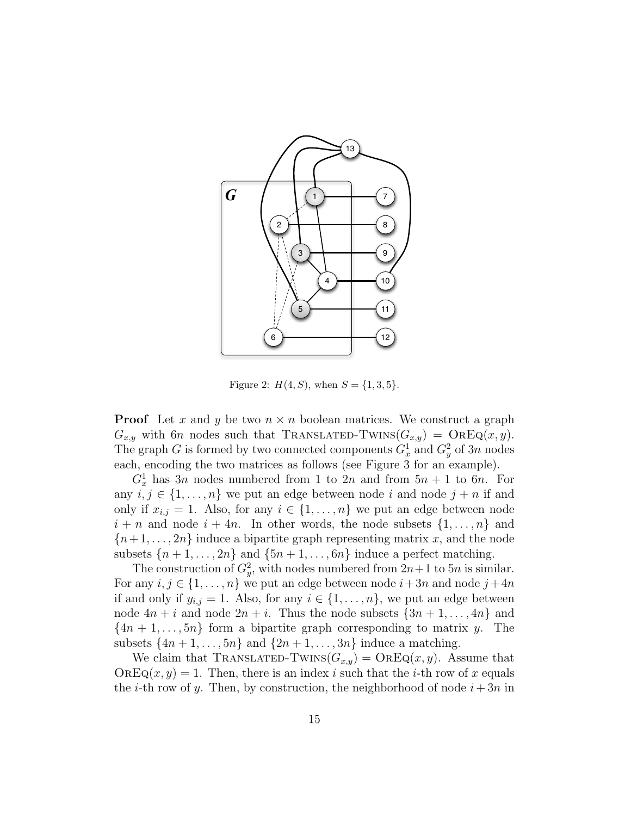

Figure 2:  $H(4, S)$ , when  $S = \{1, 3, 5\}$ .

**Proof** Let x and y be two  $n \times n$  boolean matrices. We construct a graph  $G_{x,y}$  with 6n nodes such that TRANSLATED-TWINS $(G_{x,y}) = \text{OREQ}(x, y)$ . The graph G is formed by two connected components  $G_x^1$  and  $G_y^2$  of 3n nodes each, encoding the two matrices as follows (see Figure 3 for an example).

 $G_x^1$  has 3n nodes numbered from 1 to 2n and from  $5n + 1$  to 6n. For any  $i, j \in \{1, ..., n\}$  we put an edge between node  $i$  and node  $j + n$  if and only if  $x_{i,j} = 1$ . Also, for any  $i \in \{1, \ldots, n\}$  we put an edge between node  $i + n$  and node  $i + 4n$ . In other words, the node subsets  $\{1, \ldots, n\}$  and  ${n+1, \ldots, 2n}$  induce a bipartite graph representing matrix x, and the node subsets  $\{n+1,\ldots,2n\}$  and  $\{5n+1,\ldots,6n\}$  induce a perfect matching.

The construction of  $G_y^2$ , with nodes numbered from  $2n+1$  to  $5n$  is similar. For any  $i, j \in \{1, \ldots, n\}$  we put an edge between node  $i+3n$  and node  $j+4n$ if and only if  $y_{i,j} = 1$ . Also, for any  $i \in \{1, \ldots, n\}$ , we put an edge between node  $4n + i$  and node  $2n + i$ . Thus the node subsets  $\{3n + 1, \ldots, 4n\}$  and  $\{4n+1,\ldots,5n\}$  form a bipartite graph corresponding to matrix y. The subsets  $\{4n+1,\ldots,5n\}$  and  $\{2n+1,\ldots,3n\}$  induce a matching.

We claim that TRANSLATED-TWINS $(G_{x,y}) = \text{OREQ}(x, y)$ . Assume that  $OREQ(x, y) = 1$ . Then, there is an index i such that the i-th row of x equals the *i*-th row of y. Then, by construction, the neighborhood of node  $i + 3n$  in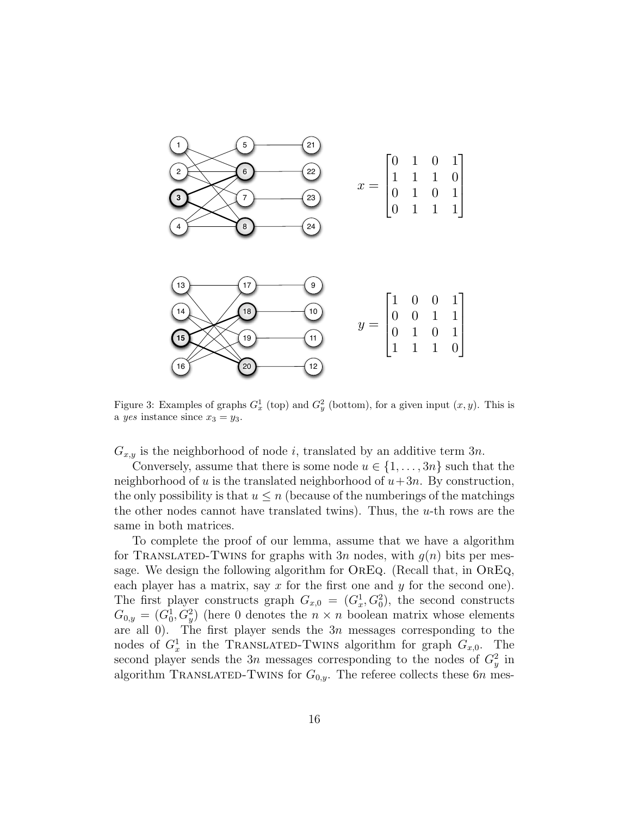

Figure 3: Examples of graphs  $G_x^1$  (top) and  $G_y^2$  (bottom), for a given input  $(x, y)$ . This is a yes instance since  $x_3 = y_3$ .

 $G_{x,y}$  is the neighborhood of node i, translated by an additive term  $3n$ .

Conversely, assume that there is some node  $u \in \{1, \ldots, 3n\}$  such that the neighborhood of u is the translated neighborhood of  $u+3n$ . By construction, the only possibility is that  $u \leq n$  (because of the numberings of the matchings the other nodes cannot have translated twins). Thus, the  $u$ -th rows are the same in both matrices.

To complete the proof of our lemma, assume that we have a algorithm for TRANSLATED-TWINS for graphs with  $3n$  nodes, with  $g(n)$  bits per message. We design the following algorithm for OREQ. (Recall that, in OREQ, each player has a matrix, say  $x$  for the first one and  $y$  for the second one). The first player constructs graph  $G_{x,0} = (G_x^1, G_0^2)$ , the second constructs  $G_{0,y} = (G_0^1, G_y^2)$  (here 0 denotes the  $n \times n$  boolean matrix whose elements are all 0). The first player sends the  $3n$  messages corresponding to the nodes of  $G_x^1$  in the TRANSLATED-TWINS algorithm for graph  $G_{x,0}$ . The second player sends the 3n messages corresponding to the nodes of  $G_y^2$  in algorithm TRANSLATED-TWINS for  $G_{0,y}$ . The referee collects these 6n mes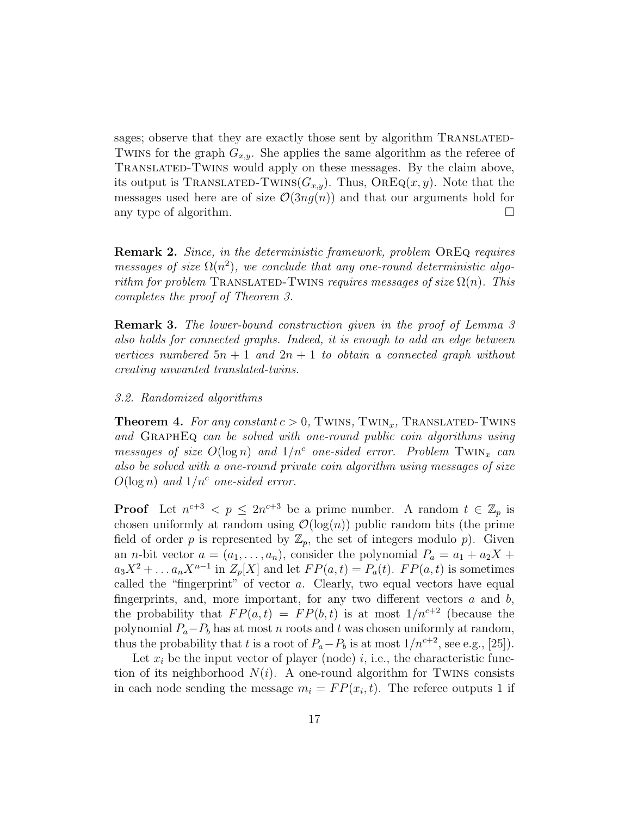sages; observe that they are exactly those sent by algorithm TRANSLATED-TWINS for the graph  $G_{x,y}$ . She applies the same algorithm as the referee of Translated-Twins would apply on these messages. By the claim above, its output is TRANSLATED-TWINS( $G_{x,y}$ ). Thus,  $OREQ(x, y)$ . Note that the messages used here are of size  $\mathcal{O}(3ng(n))$  and that our arguments hold for any type of algorithm.  $\square$ 

Remark 2. Since, in the deterministic framework, problem OREQ requires messages of size  $\Omega(n^2)$ , we conclude that any one-round deterministic algorithm for problem TRANSLATED-TWINS requires messages of size  $\Omega(n)$ . This completes the proof of Theorem 3.

**Remark 3.** The lower-bound construction given in the proof of Lemma 3 also holds for connected graphs. Indeed, it is enough to add an edge between vertices numbered  $5n + 1$  and  $2n + 1$  to obtain a connected graph without creating unwanted translated-twins.

#### 3.2. Randomized algorithms

**Theorem 4.** For any constant  $c > 0$ , TWINS, TWIN<sub>x</sub>, TRANSLATED-TWINS and GRAPHEQ can be solved with one-round public coin algorithms using messages of size  $O(\log n)$  and  $1/n^c$  one-sided error. Problem TWIN<sub>x</sub> can also be solved with a one-round private coin algorithm using messages of size  $O(\log n)$  and  $1/n^c$  one-sided error.

**Proof** Let  $n^{c+3} < p \leq 2n^{c+3}$  be a prime number. A random  $t \in \mathbb{Z}_p$  is chosen uniformly at random using  $\mathcal{O}(\log(n))$  public random bits (the prime field of order p is represented by  $\mathbb{Z}_p$ , the set of integers modulo p). Given an *n*-bit vector  $a = (a_1, \ldots, a_n)$ , consider the polynomial  $P_a = a_1 + a_2X +$  $a_3X^2 + \ldots a_nX^{n-1}$  in  $Z_p[X]$  and let  $FP(a,t) = P_a(t)$ .  $FP(a,t)$  is sometimes called the "fingerprint" of vector  $a$ . Clearly, two equal vectors have equal fingerprints, and, more important, for any two different vectors  $a$  and  $b$ , the probability that  $FP(a, t) = FP(b, t)$  is at most  $1/n^{c+2}$  (because the polynomial  $P_a-P_b$  has at most n roots and t was chosen uniformly at random, thus the probability that t is a root of  $P_a-P_b$  is at most  $1/n^{c+2}$ , see e.g., [25]).

Let  $x_i$  be the input vector of player (node) i, i.e., the characteristic function of its neighborhood  $N(i)$ . A one-round algorithm for TWINS consists in each node sending the message  $m_i = FP(x_i, t)$ . The referee outputs 1 if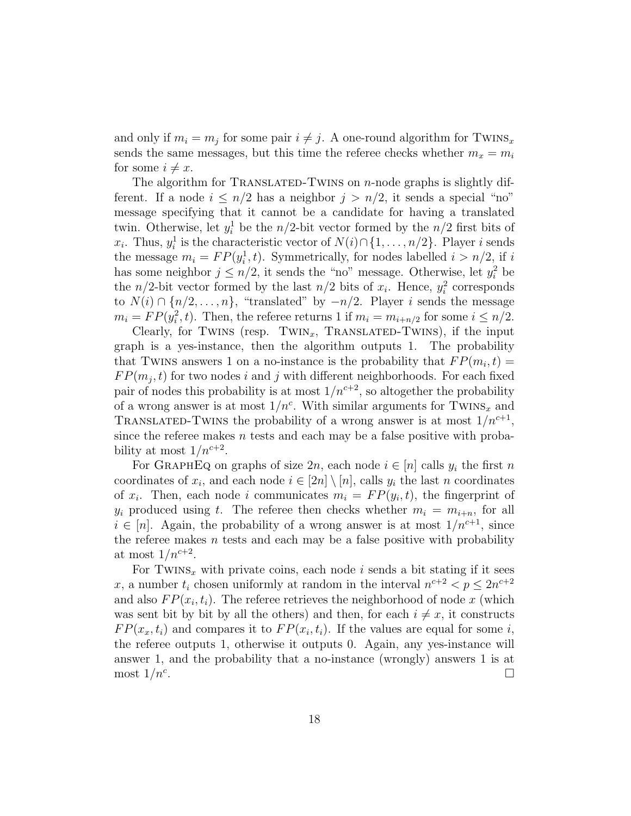and only if  $m_i = m_j$  for some pair  $i \neq j$ . A one-round algorithm for TWINS<sub>x</sub> sends the same messages, but this time the referee checks whether  $m_x = m_i$ for some  $i \neq x$ .

The algorithm for TRANSLATED-TWINS on  $n$ -node graphs is slightly different. If a node  $i \leq n/2$  has a neighbor  $j > n/2$ , it sends a special "no" message specifying that it cannot be a candidate for having a translated twin. Otherwise, let  $y_i^1$  be the  $n/2$ -bit vector formed by the  $n/2$  first bits of  $x_i$ . Thus,  $y_i^1$  is the characteristic vector of  $N(i) \cap \{1, \ldots, n/2\}$ . Player *i* sends the message  $m_i = FP(y_i^1, t)$ . Symmetrically, for nodes labelled  $i > n/2$ , if i has some neighbor  $j \leq n/2$ , it sends the "no" message. Otherwise, let  $y_i^2$  be the  $n/2$ -bit vector formed by the last  $n/2$  bits of  $x_i$ . Hence,  $y_i^2$  corresponds to  $N(i) \cap \{n/2, \ldots, n\}$ , "translated" by  $-n/2$ . Player i sends the message  $m_i = FP(y_i^2, t)$ . Then, the referee returns 1 if  $m_i = m_{i+n/2}$  for some  $i \leq n/2$ .

Clearly, for TWINS (resp. TWIN<sub>x</sub>, TRANSLATED-TWINS), if the input graph is a yes-instance, then the algorithm outputs 1. The probability that TWINS answers 1 on a no-instance is the probability that  $FP(m_i, t)$  =  $FP(m_j, t)$  for two nodes i and j with different neighborhoods. For each fixed pair of nodes this probability is at most  $1/n^{c+2}$ , so altogether the probability of a wrong answer is at most  $1/n^c$ . With similar arguments for TWINS<sub>x</sub> and TRANSLATED-TWINS the probability of a wrong answer is at most  $1/n^{c+1}$ , since the referee makes  $n$  tests and each may be a false positive with probability at most  $1/n^{c+2}$ .

For GRAPHEQ on graphs of size  $2n$ , each node  $i \in [n]$  calls  $y_i$  the first n coordinates of  $x_i$ , and each node  $i \in [2n] \setminus [n]$ , calls  $y_i$  the last n coordinates of  $x_i$ . Then, each node i communicates  $m_i = FP(y_i, t)$ , the fingerprint of  $y_i$  produced using t. The referee then checks whether  $m_i = m_{i+n}$ , for all  $i \in [n]$ . Again, the probability of a wrong answer is at most  $1/n^{c+1}$ , since the referee makes  $n$  tests and each may be a false positive with probability at most  $1/n^{c+2}$ .

For TWINS<sub>x</sub> with private coins, each node  $i$  sends a bit stating if it sees x, a number  $t_i$  chosen uniformly at random in the interval  $n^{c+2} < p \leq 2n^{c+2}$ and also  $FP(x_i, t_i)$ . The referee retrieves the neighborhood of node x (which was sent bit by bit by all the others) and then, for each  $i \neq x$ , it constructs  $FP(x_x, t_i)$  and compares it to  $FP(x_i, t_i)$ . If the values are equal for some i, the referee outputs 1, otherwise it outputs 0. Again, any yes-instance will answer 1, and the probability that a no-instance (wrongly) answers 1 is at most  $1/n^c$ . .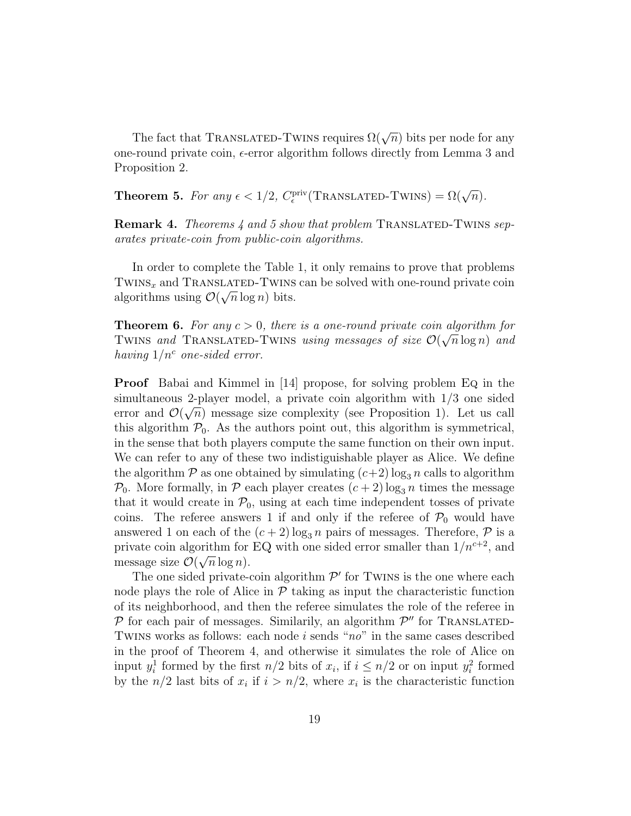The fact that TRANSLATED-TWINS requires  $\Omega(\sqrt{n})$  bits per node for any one-round private coin,  $\epsilon$ -error algorithm follows directly from Lemma 3 and Proposition 2.

**Theorem 5.** For any  $\epsilon < 1/2$ ,  $C_{\epsilon}^{\text{priv}}$ (TRANSLATED-TWINS) =  $\Omega(\sqrt{n})$ .

**Remark 4.** Theorems 4 and 5 show that problem TRANSLATED-TWINS separates private-coin from public-coin algorithms.

In order to complete the Table 1, it only remains to prove that problems TWINS<sub>x</sub> and TRANSLATED-TWINS can be solved with one-round private coin algorithms using  $\mathcal{O}(\sqrt{n}\log n)$  bits.

**Theorem 6.** For any  $c > 0$ , there is a one-round private coin algorithm for TWINS and TRANSLATED-TWINS using messages of size  $\mathcal{O}(\sqrt{n}\log n)$  and having  $1/n^c$  one-sided error.

**Proof** Babai and Kimmel in [14] propose, for solving problem Eq in the simultaneous 2-player model, a private coin algorithm with  $1/3$  one sided error and  $\mathcal{O}(\sqrt{n})$  message size complexity (see Proposition 1). Let us call this algorithm  $\mathcal{P}_0$ . As the authors point out, this algorithm is symmetrical, in the sense that both players compute the same function on their own input. We can refer to any of these two indistiguishable player as Alice. We define the algorithm  $P$  as one obtained by simulating  $(c+2) \log_3 n$  calls to algorithm  $P_0$ . More formally, in P each player creates  $(c+2) \log_3 n$  times the message that it would create in  $\mathcal{P}_0$ , using at each time independent tosses of private coins. The referee answers 1 if and only if the referee of  $P_0$  would have answered 1 on each of the  $(c+2) \log_3 n$  pairs of messages. Therefore,  $\mathcal P$  is a private coin algorithm for EQ with one sided error smaller than  $1/n^{c+2}$ , and message size  $\mathcal{O}(\sqrt{n}\log n)$ .

The one sided private-coin algorithm  $\mathcal{P}'$  for TWINS is the one where each node plays the role of Alice in  $\mathcal P$  taking as input the characteristic function of its neighborhood, and then the referee simulates the role of the referee in  $P$  for each pair of messages. Similarily, an algorithm  $P''$  for TRANSLATED-TWINS works as follows: each node i sends " $no$ " in the same cases described in the proof of Theorem 4, and otherwise it simulates the role of Alice on input  $y_i^1$  formed by the first  $n/2$  bits of  $x_i$ , if  $i \leq n/2$  or on input  $y_i^2$  formed by the  $n/2$  last bits of  $x_i$  if  $i > n/2$ , where  $x_i$  is the characteristic function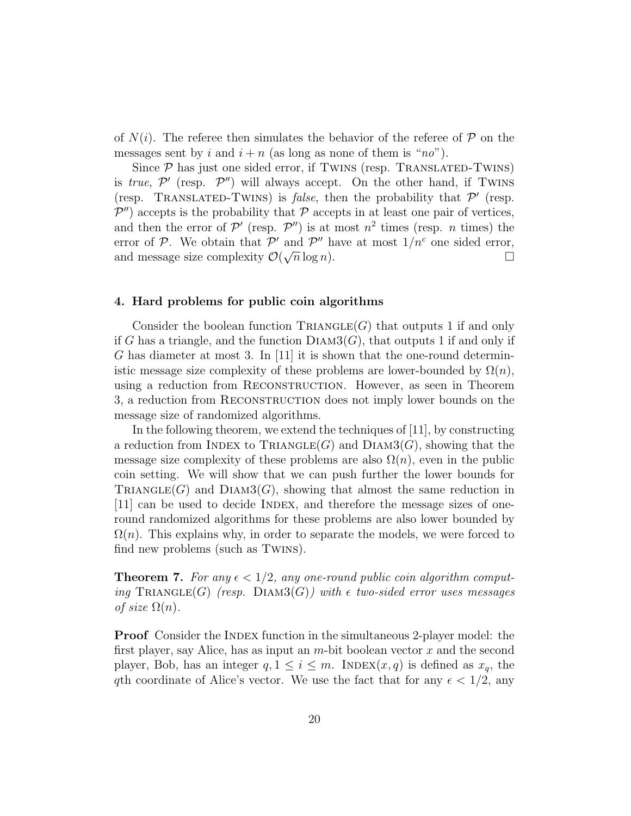of  $N(i)$ . The referee then simulates the behavior of the referee of  $\mathcal P$  on the messages sent by i and  $i + n$  (as long as none of them is "no").

Since  $P$  has just one sided error, if TWINS (resp. TRANSLATED-TWINS) is true,  $\mathcal{P}'$  (resp.  $\mathcal{P}''$ ) will always accept. On the other hand, if TWINS (resp. TRANSLATED-TWINS) is *false*, then the probability that  $\mathcal{P}'$  (resp.  $\mathcal{P}''$ ) accepts is the probability that  $\mathcal P$  accepts in at least one pair of vertices, and then the error of  $\mathcal{P}'$  (resp.  $\mathcal{P}''$ ) is at most  $n^2$  times (resp. *n* times) the error of  $P$ . We obtain that  $P'$  and  $P''$  have at most  $1/n^c$  one sided error, and message size complexity  $\mathcal{O}(\sqrt{n}\log n)$ .

#### 4. Hard problems for public coin algorithms

Consider the boolean function  $\text{TRIANGLE}(G)$  that outputs 1 if and only if G has a triangle, and the function  $DIAM3(G)$ , that outputs 1 if and only if G has diameter at most 3. In [11] it is shown that the one-round deterministic message size complexity of these problems are lower-bounded by  $\Omega(n)$ , using a reduction from RECONSTRUCTION. However, as seen in Theorem 3, a reduction from RECONSTRUCTION does not imply lower bounds on the message size of randomized algorithms.

In the following theorem, we extend the techniques of [11], by constructing a reduction from INDEX to TRIANGLE(G) and  $Diam3(G)$ , showing that the message size complexity of these problems are also  $\Omega(n)$ , even in the public coin setting. We will show that we can push further the lower bounds for TRIANGLE(G) and DIAM3(G), showing that almost the same reduction in [11] can be used to decide INDEX, and therefore the message sizes of oneround randomized algorithms for these problems are also lower bounded by  $\Omega(n)$ . This explains why, in order to separate the models, we were forced to find new problems (such as Twins).

**Theorem 7.** For any  $\epsilon < 1/2$ , any one-round public coin algorithm computing TRIANGLE(G) (resp. DIAM3(G)) with  $\epsilon$  two-sided error uses messages of size  $\Omega(n)$ .

**Proof** Consider the INDEX function in the simultaneous 2-player model: the first player, say Alice, has as input an  $m$ -bit boolean vector  $x$  and the second player, Bob, has an integer  $q, 1 \leq i \leq m$ . INDEX $(x, q)$  is defined as  $x_q$ , the qth coordinate of Alice's vector. We use the fact that for any  $\epsilon < 1/2$ , any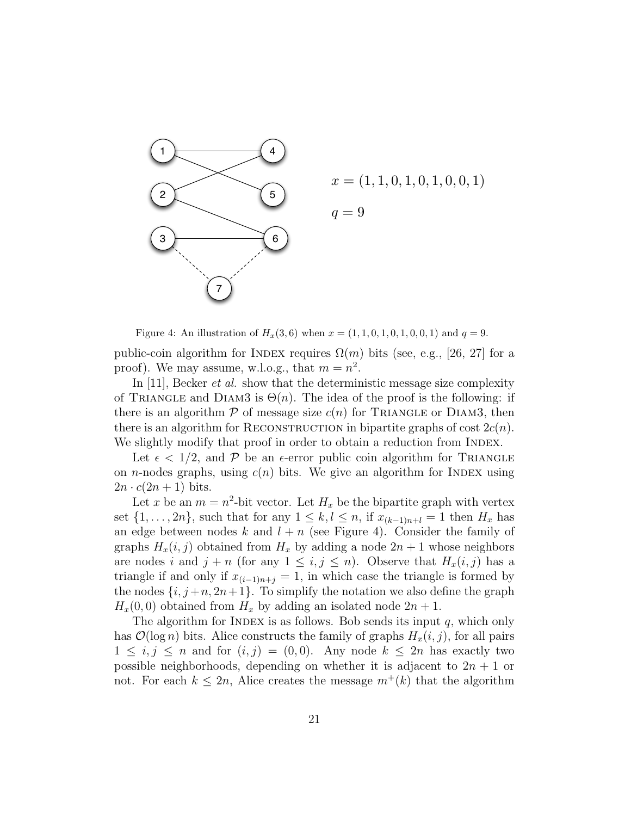

 $x = (1, 1, 0, 1, 0, 1, 0, 0, 1)$  $q = 9$ 

Figure 4: An illustration of  $H_x(3,6)$  when  $x = (1, 1, 0, 1, 0, 1, 0, 0, 1)$  and  $q = 9$ .

public-coin algorithm for INDEX requires  $\Omega(m)$  bits (see, e.g., [26, 27] for a proof). We may assume, w.l.o.g., that  $m = n^2$ .

In [11], Becker *et al.* show that the deterministic message size complexity of TRIANGLE and DIAM3 is  $\Theta(n)$ . The idea of the proof is the following: if there is an algorithm  $P$  of message size  $c(n)$  for TRIANGLE or DIAM3, then there is an algorithm for RECONSTRUCTION in bipartite graphs of cost  $2c(n)$ . We slightly modify that proof in order to obtain a reduction from INDEX.

Let  $\epsilon < 1/2$ , and P be an  $\epsilon$ -error public coin algorithm for TRIANGLE on *n*-nodes graphs, using  $c(n)$  bits. We give an algorithm for INDEX using  $2n \cdot c(2n+1)$  bits.

Let x be an  $m = n^2$ -bit vector. Let  $H_x$  be the bipartite graph with vertex set  $\{1, \ldots, 2n\}$ , such that for any  $1 \leq k, l \leq n$ , if  $x_{(k-1)n+l} = 1$  then  $H_x$  has an edge between nodes k and  $l + n$  (see Figure 4). Consider the family of graphs  $H_x(i, j)$  obtained from  $H_x$  by adding a node  $2n + 1$  whose neighbors are nodes i and  $j + n$  (for any  $1 \leq i, j \leq n$ ). Observe that  $H_x(i, j)$  has a triangle if and only if  $x_{(i-1)n+j} = 1$ , in which case the triangle is formed by the nodes  $\{i, j+n, 2n+1\}$ . To simplify the notation we also define the graph  $H_x(0,0)$  obtained from  $H_x$  by adding an isolated node  $2n+1$ .

The algorithm for INDEX is as follows. Bob sends its input  $q$ , which only has  $\mathcal{O}(\log n)$  bits. Alice constructs the family of graphs  $H_x(i, j)$ , for all pairs  $1 \leq i, j \leq n$  and for  $(i, j) = (0, 0)$ . Any node  $k \leq 2n$  has exactly two possible neighborhoods, depending on whether it is adjacent to  $2n + 1$  or not. For each  $k \leq 2n$ , Alice creates the message  $m^+(k)$  that the algorithm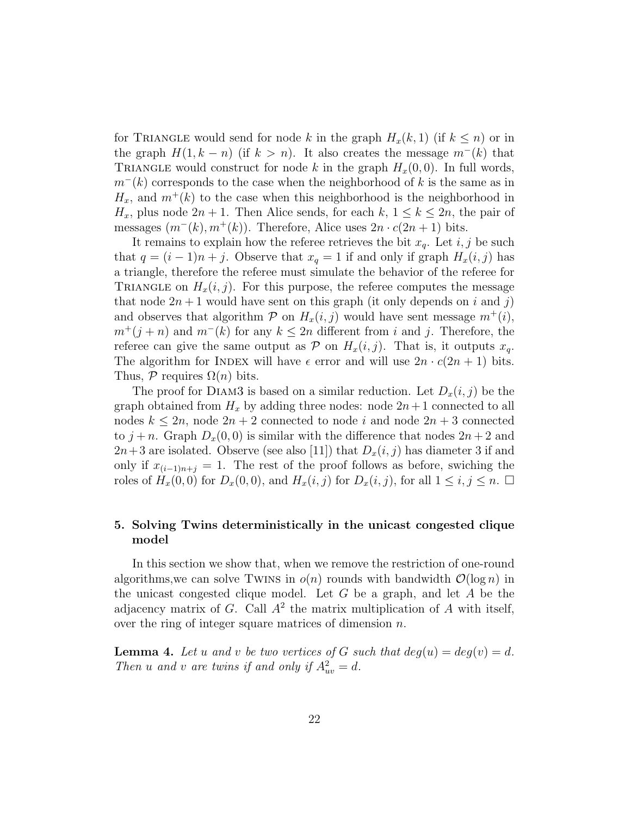for TRIANGLE would send for node k in the graph  $H_x(k, 1)$  (if  $k \leq n$ ) or in the graph  $H(1, k - n)$  (if  $k > n$ ). It also creates the message  $m^-(k)$  that TRIANGLE would construct for node k in the graph  $H<sub>x</sub>(0,0)$ . In full words,  $m^{-}(k)$  corresponds to the case when the neighborhood of k is the same as in  $H_x$ , and  $m^+(k)$  to the case when this neighborhood is the neighborhood in  $H_x$ , plus node  $2n + 1$ . Then Alice sends, for each  $k, 1 \leq k \leq 2n$ , the pair of messages  $(m^-(k), m^+(k))$ . Therefore, Alice uses  $2n \cdot c(2n+1)$  bits.

It remains to explain how the referee retrieves the bit  $x_q$ . Let  $i, j$  be such that  $q = (i - 1)n + j$ . Observe that  $x_q = 1$  if and only if graph  $H_x(i, j)$  has a triangle, therefore the referee must simulate the behavior of the referee for TRIANGLE on  $H_x(i, j)$ . For this purpose, the referee computes the message that node  $2n+1$  would have sent on this graph (it only depends on i and j) and observes that algorithm  $P$  on  $H_x(i, j)$  would have sent message  $m^+(i)$ ,  $m^+(j + n)$  and  $m^-(k)$  for any  $k \leq 2n$  different from i and j. Therefore, the referee can give the same output as  $P$  on  $H_x(i, j)$ . That is, it outputs  $x_q$ . The algorithm for INDEX will have  $\epsilon$  error and will use  $2n \cdot c(2n+1)$  bits. Thus,  $P$  requires  $\Omega(n)$  bits.

The proof for DIAM3 is based on a similar reduction. Let  $D_x(i, j)$  be the graph obtained from  $H_x$  by adding three nodes: node  $2n+1$  connected to all nodes  $k \leq 2n$ , node  $2n + 2$  connected to node i and node  $2n + 3$  connected to  $j + n$ . Graph  $D_x(0, 0)$  is similar with the difference that nodes  $2n + 2$  and  $2n+3$  are isolated. Observe (see also [11]) that  $D_x(i, j)$  has diameter 3 if and only if  $x_{(i-1)n+j} = 1$ . The rest of the proof follows as before, swiching the roles of  $H_x(0,0)$  for  $D_x(0,0)$ , and  $H_x(i, j)$  for  $D_x(i, j)$ , for all  $1 \le i, j \le n$ .

### 5. Solving Twins deterministically in the unicast congested clique model

In this section we show that, when we remove the restriction of one-round algorithms, we can solve Twins in  $o(n)$  rounds with bandwidth  $O(\log n)$  in the unicast congested clique model. Let G be a graph, and let A be the adjacency matrix of  $G$ . Call  $A^2$  the matrix multiplication of  $A$  with itself, over the ring of integer square matrices of dimension n.

**Lemma 4.** Let u and v be two vertices of G such that  $deg(u) = deg(v) = d$ . Then u and v are twins if and only if  $A_{uv}^2 = d$ .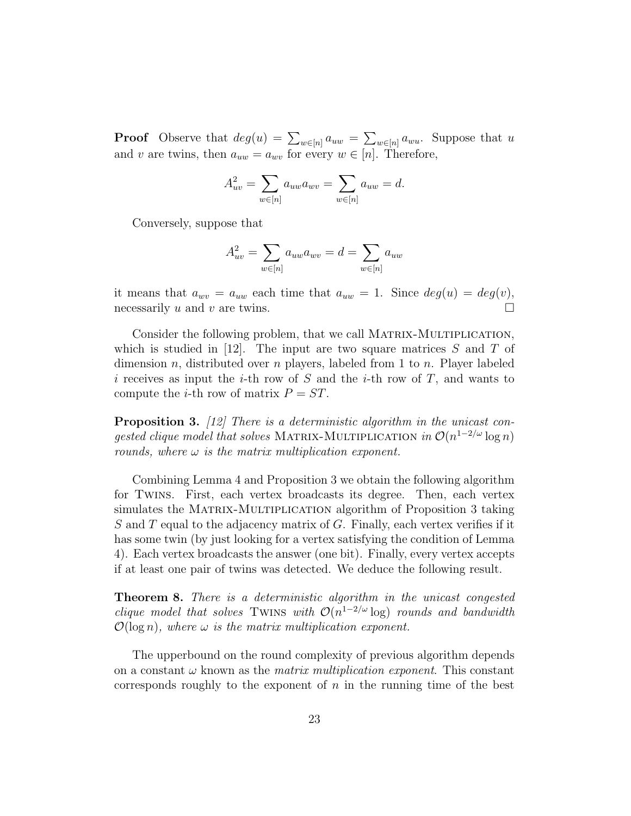**Proof** Observe that  $deg(u) = \sum_{w \in [n]} a_{uw} = \sum_{w \in [n]} a_{wu}$ . Suppose that u and v are twins, then  $a_{uw} = a_{wv}$  for every  $w \in [n]$ . Therefore,

$$
A_{uv}^2 = \sum_{w \in [n]} a_{uw} a_{wv} = \sum_{w \in [n]} a_{uw} = d.
$$

Conversely, suppose that

$$
A_{uv}^2 = \sum_{w \in [n]} a_{uw} a_{wv} = d = \sum_{w \in [n]} a_{uw}
$$

it means that  $a_{wv} = a_{uw}$  each time that  $a_{uw} = 1$ . Since  $deg(u) = deg(v)$ , necessarily u and v are twins.

Consider the following problem, that we call MATRIX-MULTIPLICATION, which is studied in [12]. The input are two square matrices  $S$  and  $T$  of dimension n, distributed over n players, labeled from 1 to n. Player labeled i receives as input the i-th row of S and the i-th row of T, and wants to compute the *i*-th row of matrix  $P = ST$ .

**Proposition 3.** [12] There is a deterministic algorithm in the unicast congested clique model that solves MATRIX-MULTIPLICATION in  $\mathcal{O}(n^{1-2/\omega}\log n)$ rounds, where  $\omega$  is the matrix multiplication exponent.

Combining Lemma 4 and Proposition 3 we obtain the following algorithm for Twins. First, each vertex broadcasts its degree. Then, each vertex simulates the MATRIX-MULTIPLICATION algorithm of Proposition 3 taking S and T equal to the adjacency matrix of G. Finally, each vertex verifies if it has some twin (by just looking for a vertex satisfying the condition of Lemma 4). Each vertex broadcasts the answer (one bit). Finally, every vertex accepts if at least one pair of twins was detected. We deduce the following result.

Theorem 8. There is a deterministic algorithm in the unicast congested clique model that solves TWINS with  $\mathcal{O}(n^{1-2/\omega} \log)$  rounds and bandwidth  $\mathcal{O}(\log n)$ , where  $\omega$  is the matrix multiplication exponent.

The upperbound on the round complexity of previous algorithm depends on a constant  $\omega$  known as the *matrix multiplication exponent*. This constant corresponds roughly to the exponent of  $n$  in the running time of the best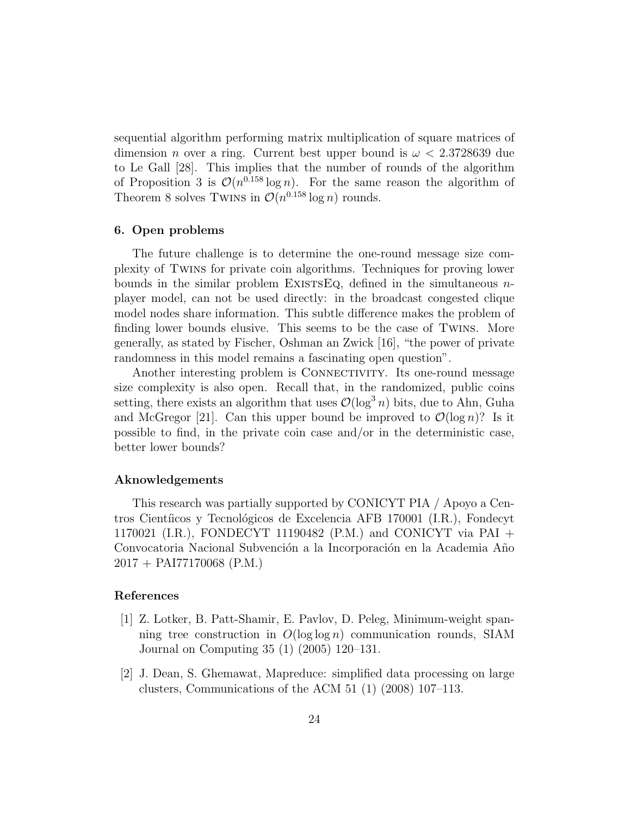sequential algorithm performing matrix multiplication of square matrices of dimension *n* over a ring. Current best upper bound is  $\omega < 2.3728639$  due to Le Gall [28]. This implies that the number of rounds of the algorithm of Proposition 3 is  $\mathcal{O}(n^{0.158} \log n)$ . For the same reason the algorithm of Theorem 8 solves TWINS in  $\mathcal{O}(n^{0.158} \log n)$  rounds.

#### 6. Open problems

The future challenge is to determine the one-round message size complexity of Twins for private coin algorithms. Techniques for proving lower bounds in the similar problem EXISTSEQ, defined in the simultaneous  $n$ player model, can not be used directly: in the broadcast congested clique model nodes share information. This subtle difference makes the problem of finding lower bounds elusive. This seems to be the case of Twins. More generally, as stated by Fischer, Oshman an Zwick [16], "the power of private randomness in this model remains a fascinating open question".

Another interesting problem is CONNECTIVITY. Its one-round message size complexity is also open. Recall that, in the randomized, public coins setting, there exists an algorithm that uses  $\mathcal{O}(\log^3 n)$  bits, due to Ahn, Guha and McGregor [21]. Can this upper bound be improved to  $\mathcal{O}(\log n)$ ? Is it possible to find, in the private coin case and/or in the deterministic case, better lower bounds?

#### Aknowledgements

This research was partially supported by CONICYT PIA / Apoyo a Centros Cientíicos y Tecnológicos de Excelencia AFB 170001 (I.R.), Fondecyt 1170021 (I.R.), FONDECYT 11190482 (P.M.) and CONICYT via PAI + Convocatoria Nacional Subvención a la Incorporación en la Academia Año 2017 + PAI77170068 (P.M.)

#### References

- [1] Z. Lotker, B. Patt-Shamir, E. Pavlov, D. Peleg, Minimum-weight spanning tree construction in  $O(\log \log n)$  communication rounds, SIAM Journal on Computing 35 (1) (2005) 120–131.
- [2] J. Dean, S. Ghemawat, Mapreduce: simplified data processing on large clusters, Communications of the ACM 51 (1) (2008) 107–113.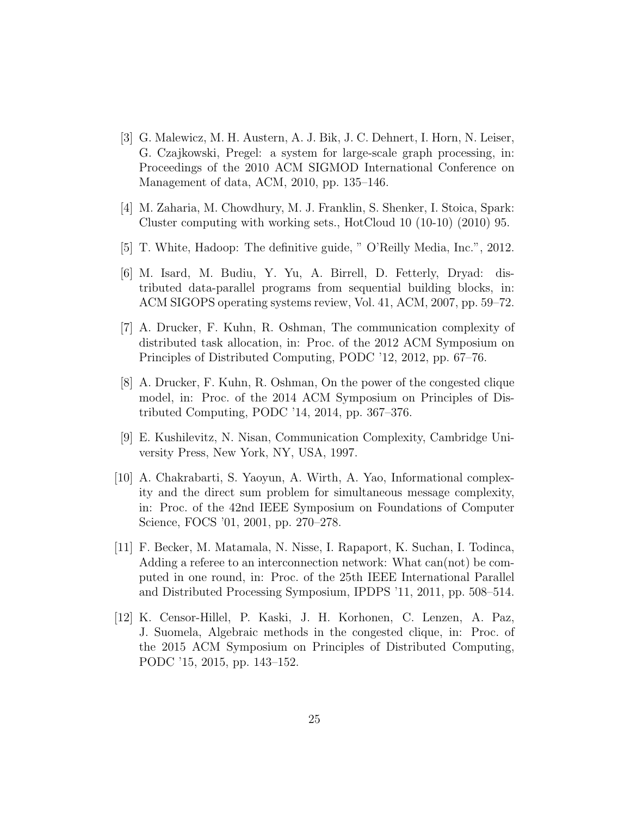- [3] G. Malewicz, M. H. Austern, A. J. Bik, J. C. Dehnert, I. Horn, N. Leiser, G. Czajkowski, Pregel: a system for large-scale graph processing, in: Proceedings of the 2010 ACM SIGMOD International Conference on Management of data, ACM, 2010, pp. 135–146.
- [4] M. Zaharia, M. Chowdhury, M. J. Franklin, S. Shenker, I. Stoica, Spark: Cluster computing with working sets., HotCloud 10 (10-10) (2010) 95.
- [5] T. White, Hadoop: The definitive guide, " O'Reilly Media, Inc.", 2012.
- [6] M. Isard, M. Budiu, Y. Yu, A. Birrell, D. Fetterly, Dryad: distributed data-parallel programs from sequential building blocks, in: ACM SIGOPS operating systems review, Vol. 41, ACM, 2007, pp. 59–72.
- [7] A. Drucker, F. Kuhn, R. Oshman, The communication complexity of distributed task allocation, in: Proc. of the 2012 ACM Symposium on Principles of Distributed Computing, PODC '12, 2012, pp. 67–76.
- [8] A. Drucker, F. Kuhn, R. Oshman, On the power of the congested clique model, in: Proc. of the 2014 ACM Symposium on Principles of Distributed Computing, PODC '14, 2014, pp. 367–376.
- [9] E. Kushilevitz, N. Nisan, Communication Complexity, Cambridge University Press, New York, NY, USA, 1997.
- [10] A. Chakrabarti, S. Yaoyun, A. Wirth, A. Yao, Informational complexity and the direct sum problem for simultaneous message complexity, in: Proc. of the 42nd IEEE Symposium on Foundations of Computer Science, FOCS '01, 2001, pp. 270–278.
- [11] F. Becker, M. Matamala, N. Nisse, I. Rapaport, K. Suchan, I. Todinca, Adding a referee to an interconnection network: What can(not) be computed in one round, in: Proc. of the 25th IEEE International Parallel and Distributed Processing Symposium, IPDPS '11, 2011, pp. 508–514.
- [12] K. Censor-Hillel, P. Kaski, J. H. Korhonen, C. Lenzen, A. Paz, J. Suomela, Algebraic methods in the congested clique, in: Proc. of the 2015 ACM Symposium on Principles of Distributed Computing, PODC '15, 2015, pp. 143–152.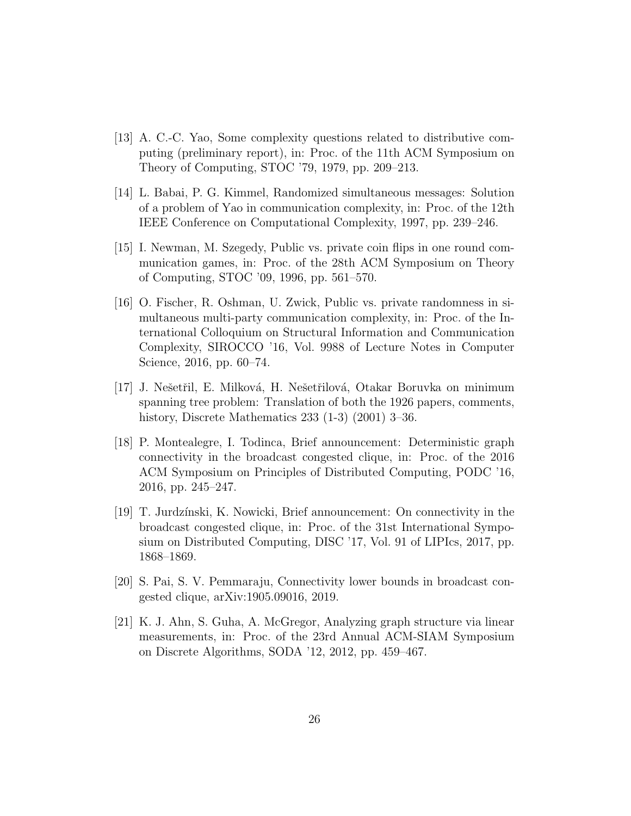- [13] A. C.-C. Yao, Some complexity questions related to distributive computing (preliminary report), in: Proc. of the 11th ACM Symposium on Theory of Computing, STOC '79, 1979, pp. 209–213.
- [14] L. Babai, P. G. Kimmel, Randomized simultaneous messages: Solution of a problem of Yao in communication complexity, in: Proc. of the 12th IEEE Conference on Computational Complexity, 1997, pp. 239–246.
- [15] I. Newman, M. Szegedy, Public vs. private coin flips in one round communication games, in: Proc. of the 28th ACM Symposium on Theory of Computing, STOC '09, 1996, pp. 561–570.
- [16] O. Fischer, R. Oshman, U. Zwick, Public vs. private randomness in simultaneous multi-party communication complexity, in: Proc. of the International Colloquium on Structural Information and Communication Complexity, SIROCCO '16, Vol. 9988 of Lecture Notes in Computer Science, 2016, pp. 60–74.
- [17] J. Nešetřil, E. Milková, H. Nešetřilová, Otakar Boruvka on minimum spanning tree problem: Translation of both the 1926 papers, comments, history, Discrete Mathematics 233 (1-3) (2001) 3–36.
- [18] P. Montealegre, I. Todinca, Brief announcement: Deterministic graph connectivity in the broadcast congested clique, in: Proc. of the 2016 ACM Symposium on Principles of Distributed Computing, PODC '16, 2016, pp. 245–247.
- [19] T. Jurdz´ınski, K. Nowicki, Brief announcement: On connectivity in the broadcast congested clique, in: Proc. of the 31st International Symposium on Distributed Computing, DISC '17, Vol. 91 of LIPIcs, 2017, pp. 1868–1869.
- [20] S. Pai, S. V. Pemmaraju, Connectivity lower bounds in broadcast congested clique, arXiv:1905.09016, 2019.
- [21] K. J. Ahn, S. Guha, A. McGregor, Analyzing graph structure via linear measurements, in: Proc. of the 23rd Annual ACM-SIAM Symposium on Discrete Algorithms, SODA '12, 2012, pp. 459–467.